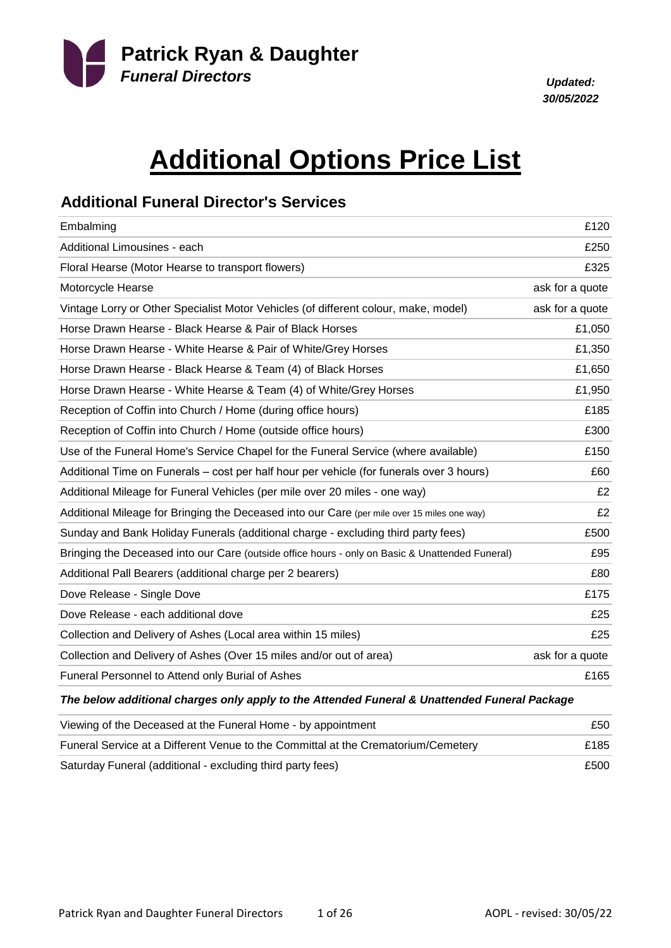

*30/05/2022*

# **Additional Options Price List**

### **Additional Funeral Director's Services**

| £120            |
|-----------------|
| £250            |
| £325            |
| ask for a quote |
| ask for a quote |
| £1,050          |
| £1,350          |
| £1,650          |
| £1,950          |
| £185            |
| £300            |
| £150            |
| £60             |
| £2              |
| £2              |
| £500            |
| £95             |
| £80             |
| £175            |
| £25             |
| £25             |
| ask for a quote |
| £165            |
|                 |

#### *The below additional charges only apply to the Attended Funeral & Unattended Funeral Package*

| Viewing of the Deceased at the Funeral Home - by appointment                      | £50. |
|-----------------------------------------------------------------------------------|------|
| Funeral Service at a Different Venue to the Committal at the Crematorium/Cemetery | £185 |
| Saturday Funeral (additional - excluding third party fees)                        | £500 |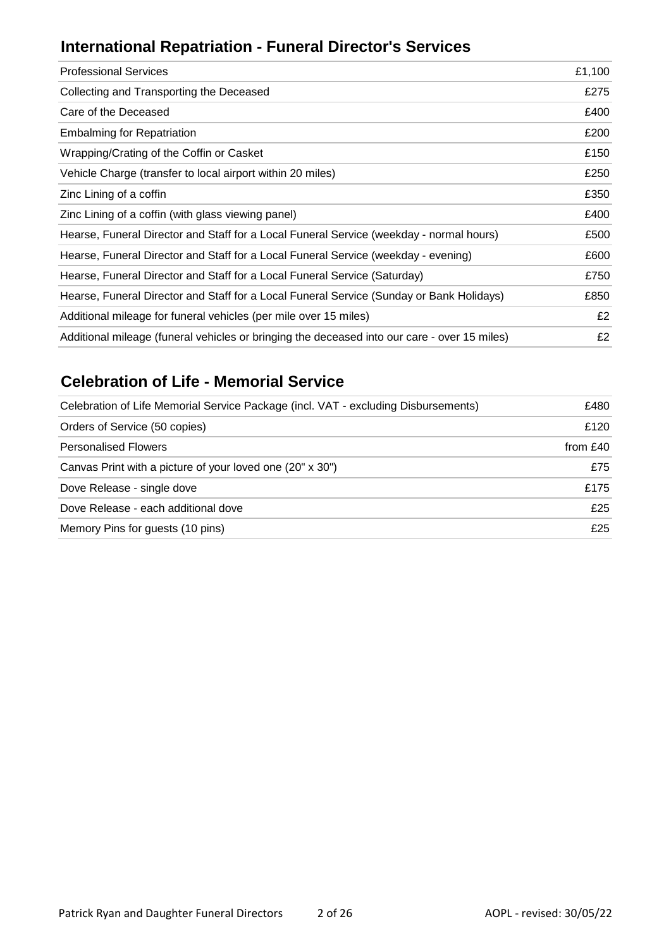## **International Repatriation - Funeral Director's Services**

| <b>Professional Services</b>                                                                 | £1,100 |
|----------------------------------------------------------------------------------------------|--------|
| Collecting and Transporting the Deceased                                                     | £275   |
| Care of the Deceased                                                                         | £400   |
| <b>Embalming for Repatriation</b>                                                            | £200   |
| Wrapping/Crating of the Coffin or Casket                                                     | £150   |
| Vehicle Charge (transfer to local airport within 20 miles)                                   | £250   |
| Zinc Lining of a coffin                                                                      | £350   |
| Zinc Lining of a coffin (with glass viewing panel)                                           | £400   |
| Hearse, Funeral Director and Staff for a Local Funeral Service (weekday - normal hours)      | £500   |
| Hearse, Funeral Director and Staff for a Local Funeral Service (weekday - evening)           | £600   |
| Hearse, Funeral Director and Staff for a Local Funeral Service (Saturday)                    | £750   |
| Hearse, Funeral Director and Staff for a Local Funeral Service (Sunday or Bank Holidays)     | £850   |
| Additional mileage for funeral vehicles (per mile over 15 miles)                             | £2     |
| Additional mileage (funeral vehicles or bringing the deceased into our care - over 15 miles) | £2     |
|                                                                                              |        |

### **Celebration of Life - Memorial Service**

| Celebration of Life Memorial Service Package (incl. VAT - excluding Disbursements) | £480     |
|------------------------------------------------------------------------------------|----------|
| Orders of Service (50 copies)                                                      | £120     |
| <b>Personalised Flowers</b>                                                        | from £40 |
| Canvas Print with a picture of your loved one (20" x 30")                          | £75      |
| Dove Release - single dove                                                         | £175     |
| Dove Release - each additional dove                                                | £25      |
| Memory Pins for guests (10 pins)                                                   | £25      |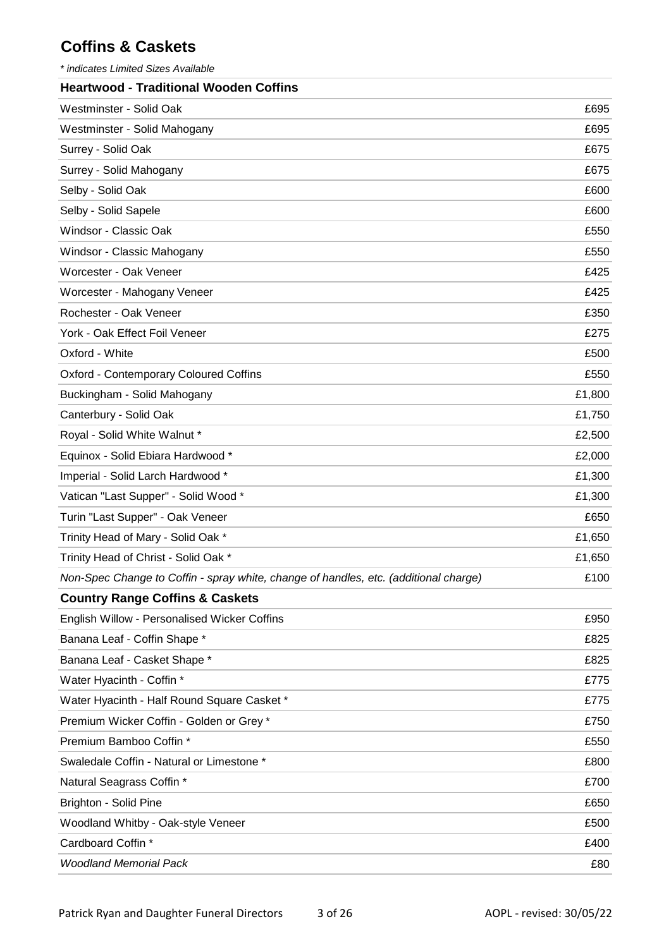### **Coffins & Caskets**

*\* indicates Limited Sizes Available*

| <b>Heartwood - Traditional Wooden Coffins</b>                                        |        |
|--------------------------------------------------------------------------------------|--------|
| Westminster - Solid Oak                                                              | £695   |
| Westminster - Solid Mahogany                                                         | £695   |
| Surrey - Solid Oak                                                                   | £675   |
| Surrey - Solid Mahogany                                                              | £675   |
| Selby - Solid Oak                                                                    | £600   |
| Selby - Solid Sapele                                                                 | £600   |
| Windsor - Classic Oak                                                                | £550   |
| Windsor - Classic Mahogany                                                           | £550   |
| Worcester - Oak Veneer                                                               | £425   |
| Worcester - Mahogany Veneer                                                          | £425   |
| Rochester - Oak Veneer                                                               | £350   |
| York - Oak Effect Foil Veneer                                                        | £275   |
| Oxford - White                                                                       | £500   |
| <b>Oxford - Contemporary Coloured Coffins</b>                                        | £550   |
| Buckingham - Solid Mahogany                                                          | £1,800 |
| Canterbury - Solid Oak                                                               | £1,750 |
| Royal - Solid White Walnut *                                                         | £2,500 |
| Equinox - Solid Ebiara Hardwood *                                                    | £2,000 |
| Imperial - Solid Larch Hardwood *                                                    | £1,300 |
| Vatican "Last Supper" - Solid Wood *                                                 | £1,300 |
| Turin "Last Supper" - Oak Veneer                                                     | £650   |
| Trinity Head of Mary - Solid Oak *                                                   | £1,650 |
| Trinity Head of Christ - Solid Oak *                                                 | £1,650 |
| Non-Spec Change to Coffin - spray white, change of handles, etc. (additional charge) | £100   |
| <b>Country Range Coffins &amp; Caskets</b>                                           |        |
| English Willow - Personalised Wicker Coffins                                         | £950   |
| Banana Leaf - Coffin Shape *                                                         | £825   |
| Banana Leaf - Casket Shape *                                                         | £825   |
| Water Hyacinth - Coffin *                                                            | £775   |
| Water Hyacinth - Half Round Square Casket *                                          | £775   |
| Premium Wicker Coffin - Golden or Grey *                                             | £750   |
| Premium Bamboo Coffin *                                                              | £550   |
| Swaledale Coffin - Natural or Limestone *                                            | £800   |
| Natural Seagrass Coffin *                                                            | £700   |
| <b>Brighton - Solid Pine</b>                                                         | £650   |
| Woodland Whitby - Oak-style Veneer                                                   | £500   |
| Cardboard Coffin *                                                                   | £400   |
| <b>Woodland Memorial Pack</b>                                                        | £80    |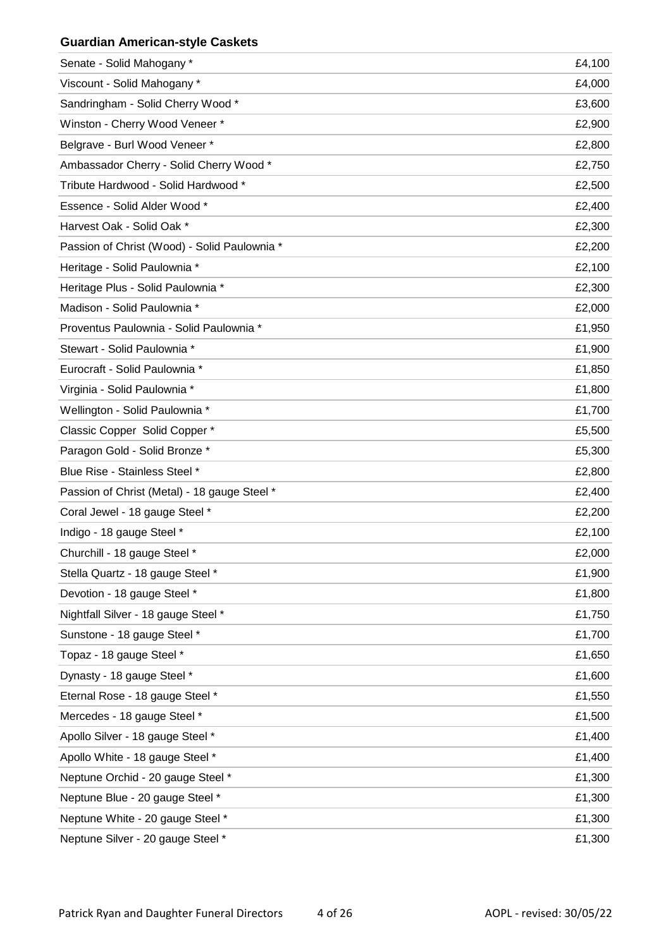#### **Guardian American-style Caskets**

| Senate - Solid Mahogany *                    | £4,100 |
|----------------------------------------------|--------|
| Viscount - Solid Mahogany *                  | £4,000 |
| Sandringham - Solid Cherry Wood *            | £3,600 |
| Winston - Cherry Wood Veneer *               | £2,900 |
| Belgrave - Burl Wood Veneer *                | £2,800 |
| Ambassador Cherry - Solid Cherry Wood *      | £2,750 |
| Tribute Hardwood - Solid Hardwood *          | £2,500 |
| Essence - Solid Alder Wood *                 | £2,400 |
| Harvest Oak - Solid Oak *                    | £2,300 |
| Passion of Christ (Wood) - Solid Paulownia * | £2,200 |
| Heritage - Solid Paulownia *                 | £2,100 |
| Heritage Plus - Solid Paulownia *            | £2,300 |
| Madison - Solid Paulownia *                  | £2,000 |
| Proventus Paulownia - Solid Paulownia *      | £1,950 |
| Stewart - Solid Paulownia *                  | £1,900 |
| Eurocraft - Solid Paulownia *                | £1,850 |
| Virginia - Solid Paulownia *                 | £1,800 |
| Wellington - Solid Paulownia *               | £1,700 |
| Classic Copper Solid Copper *                | £5,500 |
| Paragon Gold - Solid Bronze *                | £5,300 |
| Blue Rise - Stainless Steel *                | £2,800 |
| Passion of Christ (Metal) - 18 gauge Steel * | £2,400 |
| Coral Jewel - 18 gauge Steel *               | £2,200 |
| Indigo - 18 gauge Steel *                    | £2,100 |
| Churchill - 18 gauge Steel *                 | £2,000 |
| Stella Quartz - 18 gauge Steel *             | £1,900 |
| Devotion - 18 gauge Steel *                  | £1,800 |
| Nightfall Silver - 18 gauge Steel *          | £1,750 |
| Sunstone - 18 gauge Steel *                  | £1,700 |
| Topaz - 18 gauge Steel *                     | £1,650 |
| Dynasty - 18 gauge Steel *                   | £1,600 |
| Eternal Rose - 18 gauge Steel *              | £1,550 |
| Mercedes - 18 gauge Steel *                  | £1,500 |
| Apollo Silver - 18 gauge Steel *             | £1,400 |
| Apollo White - 18 gauge Steel *              | £1,400 |
| Neptune Orchid - 20 gauge Steel *            | £1,300 |
| Neptune Blue - 20 gauge Steel *              | £1,300 |
| Neptune White - 20 gauge Steel *             | £1,300 |
| Neptune Silver - 20 gauge Steel *            | £1,300 |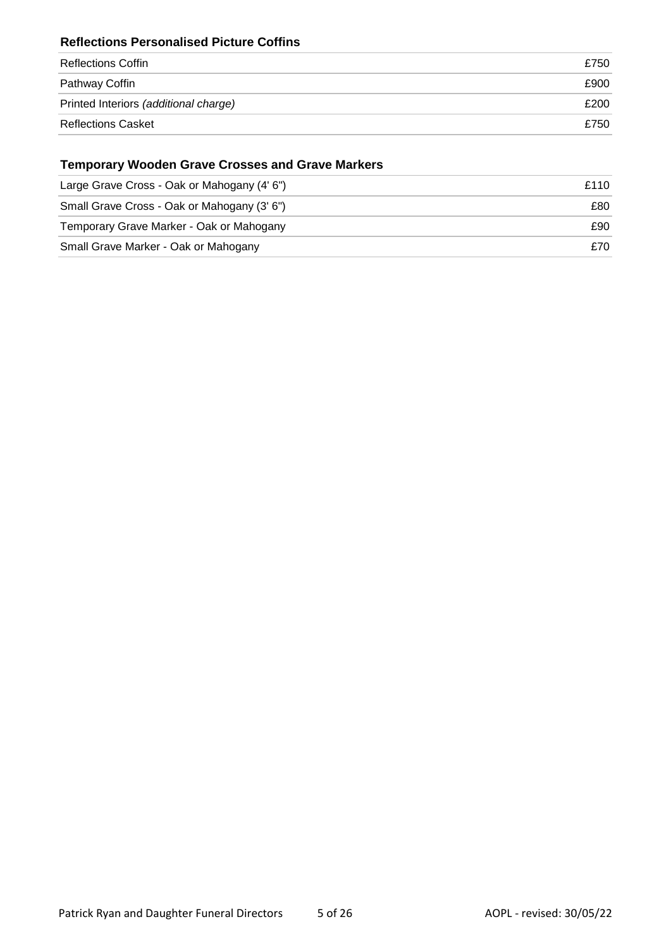#### **Reflections Personalised Picture Coffins**

| Reflections Coffin                    | £750 |
|---------------------------------------|------|
| Pathway Coffin                        | £900 |
| Printed Interiors (additional charge) | £200 |
| <b>Reflections Casket</b>             | £750 |

### **Temporary Wooden Grave Crosses and Grave Markers**

| Large Grave Cross - Oak or Mahogany (4' 6") | £110 |
|---------------------------------------------|------|
| Small Grave Cross - Oak or Mahogany (3' 6") | £80  |
| Temporary Grave Marker - Oak or Mahogany    | £90  |
| Small Grave Marker - Oak or Mahogany        | £70  |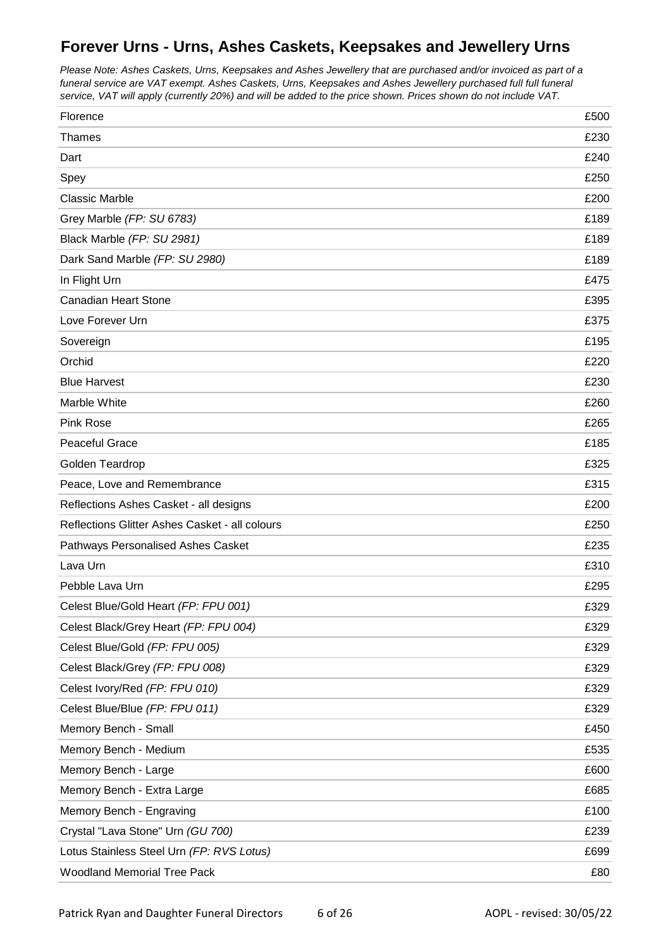### **Forever Urns - Urns, Ashes Caskets, Keepsakes and Jewellery Urns**

*Please Note: Ashes Caskets, Urns, Keepsakes and Ashes Jewellery that are purchased and/or invoiced as part of a funeral service are VAT exempt. Ashes Caskets, Urns, Keepsakes and Ashes Jewellery purchased full full funeral service, VAT will apply (currently 20%) and will be added to the price shown. Prices shown do not include VAT.*

| Florence                                       | £500 |
|------------------------------------------------|------|
| <b>Thames</b>                                  | £230 |
| Dart                                           | £240 |
| Spey                                           | £250 |
| <b>Classic Marble</b>                          | £200 |
| Grey Marble (FP: SU 6783)                      | £189 |
| Black Marble (FP: SU 2981)                     | £189 |
| Dark Sand Marble (FP: SU 2980)                 | £189 |
| In Flight Urn                                  | £475 |
| <b>Canadian Heart Stone</b>                    | £395 |
| Love Forever Urn                               | £375 |
| Sovereign                                      | £195 |
| Orchid                                         | £220 |
| <b>Blue Harvest</b>                            | £230 |
| Marble White                                   | £260 |
| <b>Pink Rose</b>                               | £265 |
| Peaceful Grace                                 | £185 |
| Golden Teardrop                                | £325 |
| Peace, Love and Remembrance                    | £315 |
| Reflections Ashes Casket - all designs         | £200 |
| Reflections Glitter Ashes Casket - all colours | £250 |
| Pathways Personalised Ashes Casket             | £235 |
| Lava Urn                                       | £310 |
| Pebble Lava Urn                                | £295 |
| Celest Blue/Gold Heart (FP: FPU 001)           | £329 |
| Celest Black/Grey Heart (FP: FPU 004)          | £329 |
| Celest Blue/Gold (FP: FPU 005)                 | £329 |
| Celest Black/Grey (FP: FPU 008)                | £329 |
| Celest Ivory/Red (FP: FPU 010)                 | £329 |
| Celest Blue/Blue (FP: FPU 011)                 | £329 |
| Memory Bench - Small                           | £450 |
| Memory Bench - Medium                          | £535 |
| Memory Bench - Large                           | £600 |
| Memory Bench - Extra Large                     | £685 |
| Memory Bench - Engraving                       | £100 |
| Crystal "Lava Stone" Urn (GU 700)              | £239 |
| Lotus Stainless Steel Urn (FP: RVS Lotus)      | £699 |
| <b>Woodland Memorial Tree Pack</b>             | £80  |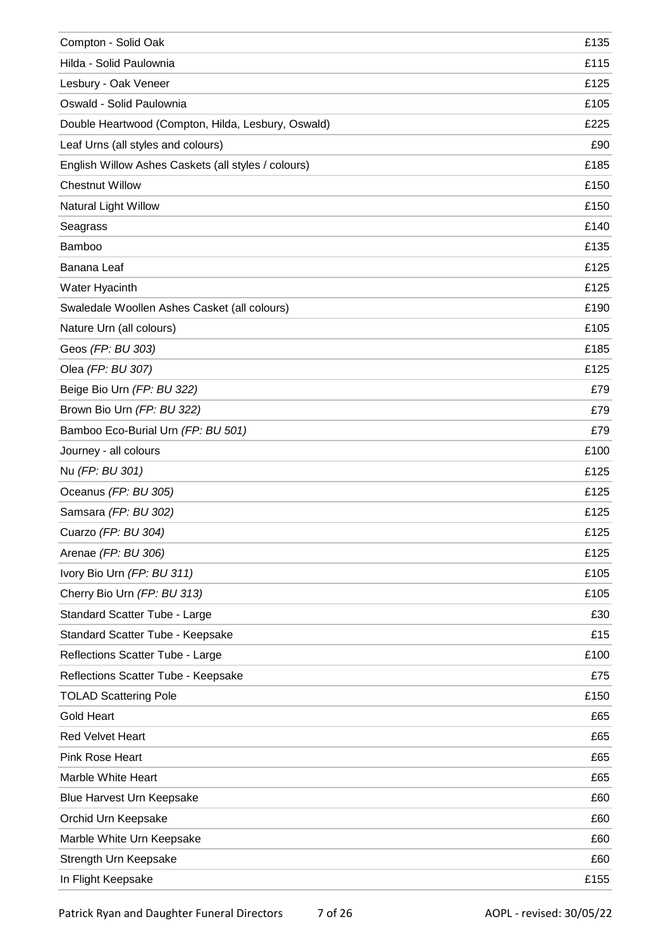| Compton - Solid Oak                                 | £135 |
|-----------------------------------------------------|------|
| Hilda - Solid Paulownia                             | £115 |
| Lesbury - Oak Veneer                                | £125 |
| Oswald - Solid Paulownia                            | £105 |
| Double Heartwood (Compton, Hilda, Lesbury, Oswald)  | £225 |
| Leaf Urns (all styles and colours)                  | £90  |
| English Willow Ashes Caskets (all styles / colours) | £185 |
| <b>Chestnut Willow</b>                              | £150 |
| Natural Light Willow                                | £150 |
| Seagrass                                            | £140 |
| Bamboo                                              | £135 |
| Banana Leaf                                         | £125 |
| Water Hyacinth                                      | £125 |
| Swaledale Woollen Ashes Casket (all colours)        | £190 |
| Nature Urn (all colours)                            | £105 |
| Geos (FP: BU 303)                                   | £185 |
| Olea (FP: BU 307)                                   | £125 |
| Beige Bio Urn (FP: BU 322)                          | £79  |
| Brown Bio Urn (FP: BU 322)                          | £79  |
| Bamboo Eco-Burial Urn (FP: BU 501)                  | £79  |
| Journey - all colours                               | £100 |
| Nu (FP: BU 301)                                     | £125 |
| Oceanus (FP: BU 305)                                | £125 |
| Samsara (FP: BU 302)                                | £125 |
| Cuarzo (FP: BU 304)                                 | £125 |
| Arenae (FP: BU 306)                                 | £125 |
| Ivory Bio Urn (FP: BU 311)                          | £105 |
| Cherry Bio Urn (FP: BU 313)                         | £105 |
| Standard Scatter Tube - Large                       | £30  |
| Standard Scatter Tube - Keepsake                    | £15  |
| Reflections Scatter Tube - Large                    | £100 |
| Reflections Scatter Tube - Keepsake                 | £75  |
| <b>TOLAD Scattering Pole</b>                        | £150 |
| <b>Gold Heart</b>                                   | £65  |
| <b>Red Velvet Heart</b>                             | £65  |
| Pink Rose Heart                                     | £65  |
| Marble White Heart                                  | £65  |
| Blue Harvest Urn Keepsake                           | £60  |
| Orchid Urn Keepsake                                 | £60  |
| Marble White Urn Keepsake                           | £60  |
| Strength Urn Keepsake                               | £60  |
| In Flight Keepsake                                  | £155 |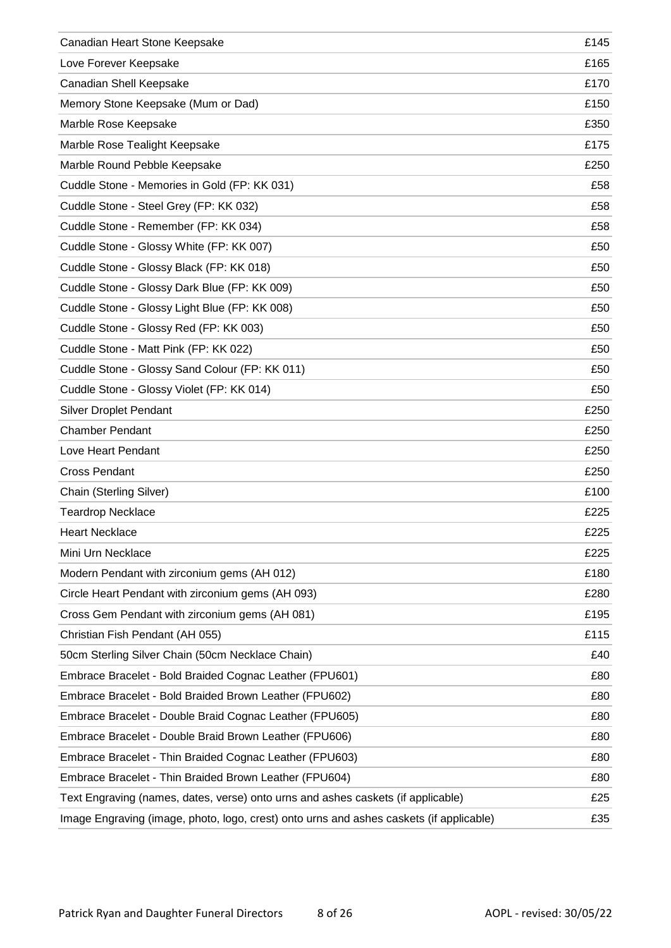| Canadian Heart Stone Keepsake                                                           | £145 |
|-----------------------------------------------------------------------------------------|------|
| Love Forever Keepsake                                                                   | £165 |
| Canadian Shell Keepsake                                                                 | £170 |
| Memory Stone Keepsake (Mum or Dad)                                                      | £150 |
| Marble Rose Keepsake                                                                    | £350 |
| Marble Rose Tealight Keepsake                                                           | £175 |
| Marble Round Pebble Keepsake                                                            | £250 |
| Cuddle Stone - Memories in Gold (FP: KK 031)                                            | £58  |
| Cuddle Stone - Steel Grey (FP: KK 032)                                                  | £58  |
| Cuddle Stone - Remember (FP: KK 034)                                                    | £58  |
| Cuddle Stone - Glossy White (FP: KK 007)                                                | £50  |
| Cuddle Stone - Glossy Black (FP: KK 018)                                                | £50  |
| Cuddle Stone - Glossy Dark Blue (FP: KK 009)                                            | £50  |
| Cuddle Stone - Glossy Light Blue (FP: KK 008)                                           | £50  |
| Cuddle Stone - Glossy Red (FP: KK 003)                                                  | £50  |
| Cuddle Stone - Matt Pink (FP: KK 022)                                                   | £50  |
| Cuddle Stone - Glossy Sand Colour (FP: KK 011)                                          | £50  |
| Cuddle Stone - Glossy Violet (FP: KK 014)                                               | £50  |
| <b>Silver Droplet Pendant</b>                                                           | £250 |
| <b>Chamber Pendant</b>                                                                  | £250 |
| Love Heart Pendant                                                                      | £250 |
| <b>Cross Pendant</b>                                                                    | £250 |
| Chain (Sterling Silver)                                                                 | £100 |
| <b>Teardrop Necklace</b>                                                                | £225 |
| <b>Heart Necklace</b>                                                                   | £225 |
| Mini Urn Necklace                                                                       | £225 |
| Modern Pendant with zirconium gems (AH 012)                                             | £180 |
| Circle Heart Pendant with zirconium gems (AH 093)                                       | £280 |
| Cross Gem Pendant with zirconium gems (AH 081)                                          | £195 |
| Christian Fish Pendant (AH 055)                                                         | £115 |
| 50cm Sterling Silver Chain (50cm Necklace Chain)                                        | £40  |
| Embrace Bracelet - Bold Braided Cognac Leather (FPU601)                                 | £80  |
| Embrace Bracelet - Bold Braided Brown Leather (FPU602)                                  | £80  |
| Embrace Bracelet - Double Braid Cognac Leather (FPU605)                                 | £80  |
| Embrace Bracelet - Double Braid Brown Leather (FPU606)                                  | £80  |
| Embrace Bracelet - Thin Braided Cognac Leather (FPU603)                                 | £80  |
| Embrace Bracelet - Thin Braided Brown Leather (FPU604)                                  | £80  |
| Text Engraving (names, dates, verse) onto urns and ashes caskets (if applicable)        | £25  |
| Image Engraving (image, photo, logo, crest) onto urns and ashes caskets (if applicable) | £35  |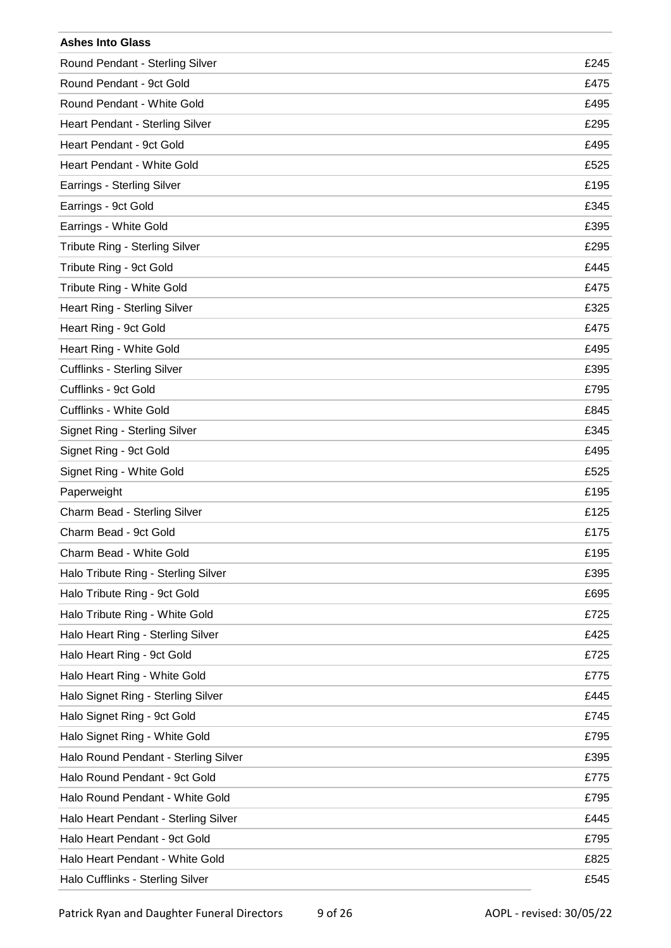| <b>Ashes Into Glass</b>              |      |
|--------------------------------------|------|
| Round Pendant - Sterling Silver      | £245 |
| Round Pendant - 9ct Gold             | £475 |
| Round Pendant - White Gold           | £495 |
| Heart Pendant - Sterling Silver      | £295 |
| Heart Pendant - 9ct Gold             | £495 |
| Heart Pendant - White Gold           | £525 |
| Earrings - Sterling Silver           | £195 |
| Earrings - 9ct Gold                  | £345 |
| Earrings - White Gold                | £395 |
| Tribute Ring - Sterling Silver       | £295 |
| Tribute Ring - 9ct Gold              | £445 |
| Tribute Ring - White Gold            | £475 |
| Heart Ring - Sterling Silver         | £325 |
| Heart Ring - 9ct Gold                | £475 |
| Heart Ring - White Gold              | £495 |
| <b>Cufflinks - Sterling Silver</b>   | £395 |
| Cufflinks - 9ct Gold                 | £795 |
| Cufflinks - White Gold               | £845 |
| Signet Ring - Sterling Silver        | £345 |
| Signet Ring - 9ct Gold               | £495 |
| Signet Ring - White Gold             | £525 |
| Paperweight                          | £195 |
| Charm Bead - Sterling Silver         | £125 |
| Charm Bead - 9ct Gold                | £175 |
| Charm Bead - White Gold              | £195 |
| Halo Tribute Ring - Sterling Silver  | £395 |
| Halo Tribute Ring - 9ct Gold         | £695 |
| Halo Tribute Ring - White Gold       | £725 |
| Halo Heart Ring - Sterling Silver    | £425 |
| Halo Heart Ring - 9ct Gold           | £725 |
| Halo Heart Ring - White Gold         | £775 |
| Halo Signet Ring - Sterling Silver   | £445 |
| Halo Signet Ring - 9ct Gold          | £745 |
| Halo Signet Ring - White Gold        | £795 |
| Halo Round Pendant - Sterling Silver | £395 |
| Halo Round Pendant - 9ct Gold        | £775 |
| Halo Round Pendant - White Gold      | £795 |
| Halo Heart Pendant - Sterling Silver | £445 |
| Halo Heart Pendant - 9ct Gold        | £795 |
| Halo Heart Pendant - White Gold      | £825 |
| Halo Cufflinks - Sterling Silver     | £545 |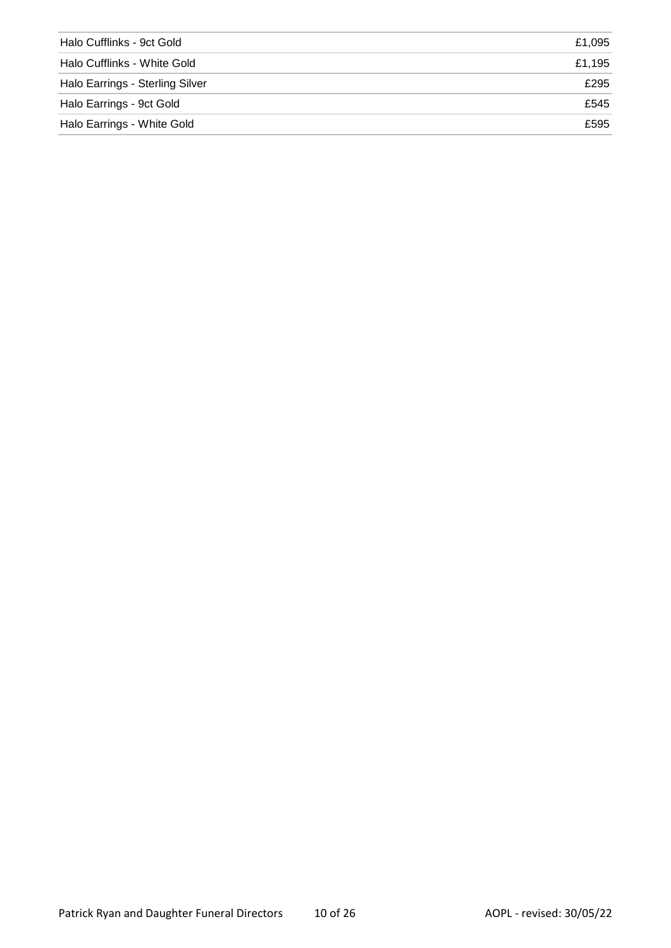| Halo Cufflinks - 9ct Gold       | £1.095 |
|---------------------------------|--------|
| Halo Cufflinks - White Gold     | £1.195 |
| Halo Earrings - Sterling Silver | £295   |
| Halo Earrings - 9ct Gold        | £545   |
| Halo Earrings - White Gold      | £595   |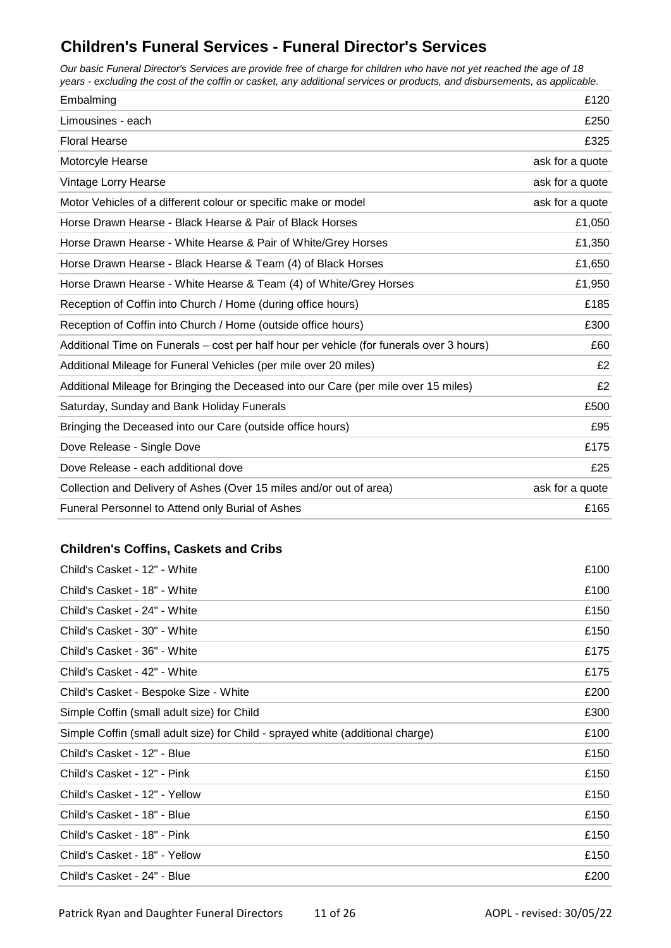### **Children's Funeral Services - Funeral Director's Services**

*Our basic Funeral Director's Services are provide free of charge for children who have not yet reached the age of 18 years - excluding the cost of the coffin or casket, any additional services or products, and disbursements, as applicable.*

| Embalming                                                                                | £120            |
|------------------------------------------------------------------------------------------|-----------------|
| Limousines - each                                                                        | £250            |
| <b>Floral Hearse</b>                                                                     | £325            |
| Motorcyle Hearse                                                                         | ask for a quote |
| Vintage Lorry Hearse                                                                     | ask for a quote |
| Motor Vehicles of a different colour or specific make or model                           | ask for a quote |
| Horse Drawn Hearse - Black Hearse & Pair of Black Horses                                 | £1,050          |
| Horse Drawn Hearse - White Hearse & Pair of White/Grey Horses                            | £1,350          |
| Horse Drawn Hearse - Black Hearse & Team (4) of Black Horses                             | £1,650          |
| Horse Drawn Hearse - White Hearse & Team (4) of White/Grey Horses                        | £1,950          |
| Reception of Coffin into Church / Home (during office hours)                             | £185            |
| Reception of Coffin into Church / Home (outside office hours)                            | £300            |
| Additional Time on Funerals - cost per half hour per vehicle (for funerals over 3 hours) | £60             |
| Additional Mileage for Funeral Vehicles (per mile over 20 miles)                         | £2              |
| Additional Mileage for Bringing the Deceased into our Care (per mile over 15 miles)      | £2              |
| Saturday, Sunday and Bank Holiday Funerals                                               | £500            |
| Bringing the Deceased into our Care (outside office hours)                               | £95             |
| Dove Release - Single Dove                                                               | £175            |
| Dove Release - each additional dove                                                      | £25             |
| Collection and Delivery of Ashes (Over 15 miles and/or out of area)                      | ask for a quote |
| Funeral Personnel to Attend only Burial of Ashes                                         | £165            |

#### **Children's Coffins, Caskets and Cribs**

| Child's Casket - 12" - White                                                   | £100 |
|--------------------------------------------------------------------------------|------|
| Child's Casket - 18" - White                                                   | £100 |
| Child's Casket - 24" - White                                                   | £150 |
| Child's Casket - 30" - White                                                   | £150 |
| Child's Casket - 36" - White                                                   | £175 |
| Child's Casket - 42" - White                                                   | £175 |
| Child's Casket - Bespoke Size - White                                          | £200 |
| Simple Coffin (small adult size) for Child                                     | £300 |
| Simple Coffin (small adult size) for Child - sprayed white (additional charge) | £100 |
| Child's Casket - 12" - Blue                                                    | £150 |
| Child's Casket - 12" - Pink                                                    | £150 |
| Child's Casket - 12" - Yellow                                                  | £150 |
| Child's Casket - 18" - Blue                                                    | £150 |
| Child's Casket - 18" - Pink                                                    | £150 |
| Child's Casket - 18" - Yellow                                                  | £150 |
| Child's Casket - 24" - Blue                                                    | £200 |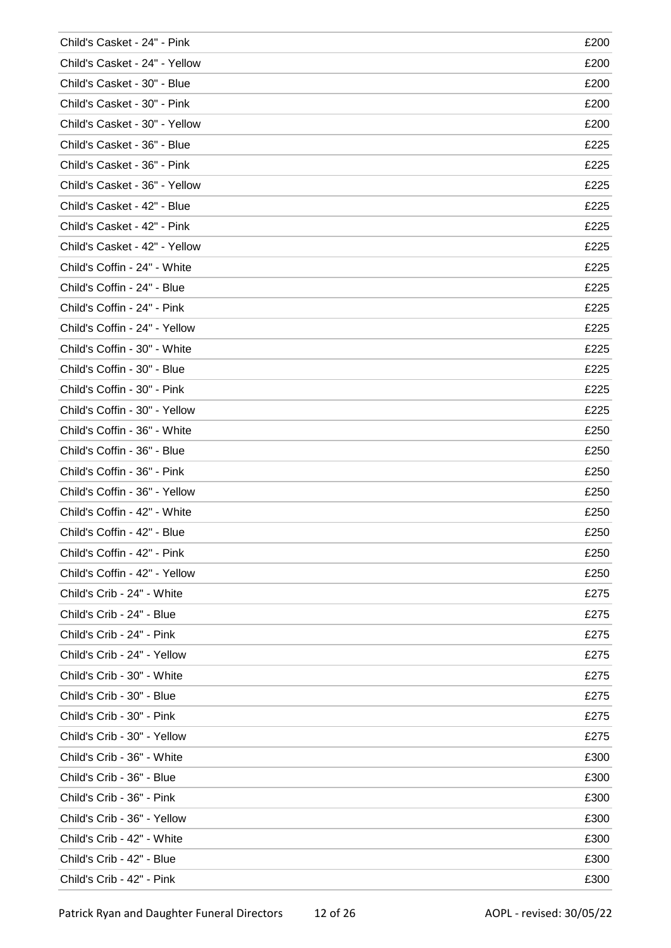| Child's Casket - 24" - Pink   | £200 |
|-------------------------------|------|
| Child's Casket - 24" - Yellow | £200 |
| Child's Casket - 30" - Blue   | £200 |
| Child's Casket - 30" - Pink   | £200 |
| Child's Casket - 30" - Yellow | £200 |
| Child's Casket - 36" - Blue   | £225 |
| Child's Casket - 36" - Pink   | £225 |
| Child's Casket - 36" - Yellow | £225 |
| Child's Casket - 42" - Blue   | £225 |
| Child's Casket - 42" - Pink   | £225 |
| Child's Casket - 42" - Yellow | £225 |
| Child's Coffin - 24" - White  | £225 |
| Child's Coffin - 24" - Blue   | £225 |
| Child's Coffin - 24" - Pink   | £225 |
| Child's Coffin - 24" - Yellow | £225 |
| Child's Coffin - 30" - White  | £225 |
| Child's Coffin - 30" - Blue   | £225 |
| Child's Coffin - 30" - Pink   | £225 |
| Child's Coffin - 30" - Yellow | £225 |
| Child's Coffin - 36" - White  | £250 |
| Child's Coffin - 36" - Blue   | £250 |
| Child's Coffin - 36" - Pink   | £250 |
| Child's Coffin - 36" - Yellow | £250 |
| Child's Coffin - 42" - White  | £250 |
| Child's Coffin - 42" - Blue   | £250 |
| Child's Coffin - 42" - Pink   | £250 |
| Child's Coffin - 42" - Yellow | £250 |
| Child's Crib - 24" - White    | £275 |
| Child's Crib - 24" - Blue     | £275 |
| Child's Crib - 24" - Pink     | £275 |
| Child's Crib - 24" - Yellow   | £275 |
| Child's Crib - 30" - White    | £275 |
| Child's Crib - 30" - Blue     | £275 |
| Child's Crib - 30" - Pink     | £275 |
| Child's Crib - 30" - Yellow   | £275 |
| Child's Crib - 36" - White    | £300 |
| Child's Crib - 36" - Blue     | £300 |
| Child's Crib - 36" - Pink     | £300 |
| Child's Crib - 36" - Yellow   | £300 |
| Child's Crib - 42" - White    | £300 |
| Child's Crib - 42" - Blue     | £300 |
| Child's Crib - 42" - Pink     | £300 |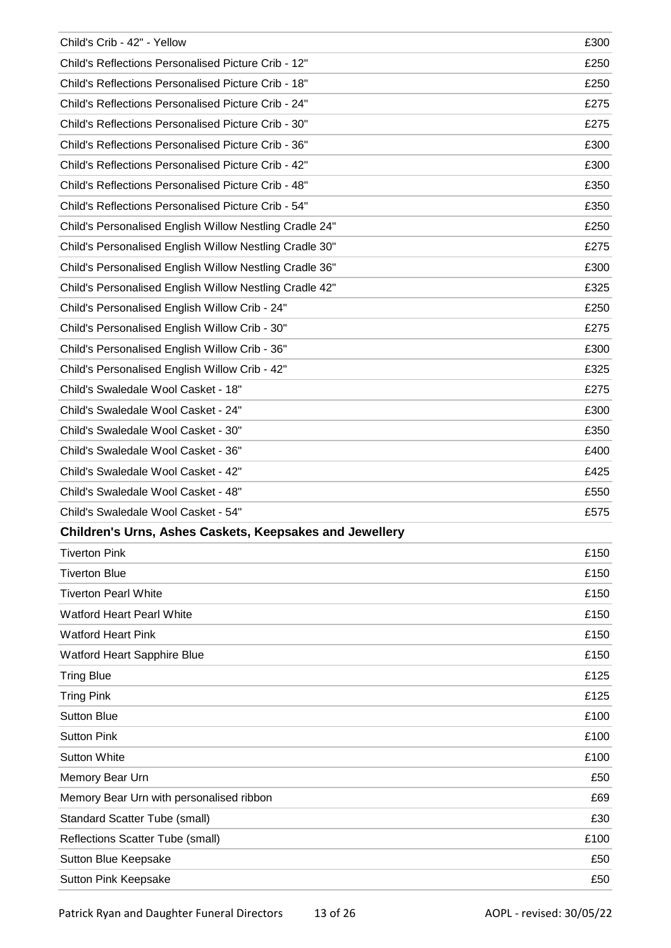| Child's Crib - 42" - Yellow                                    | £300 |
|----------------------------------------------------------------|------|
| Child's Reflections Personalised Picture Crib - 12"            | £250 |
| Child's Reflections Personalised Picture Crib - 18"            | £250 |
| Child's Reflections Personalised Picture Crib - 24"            | £275 |
| Child's Reflections Personalised Picture Crib - 30"            | £275 |
| Child's Reflections Personalised Picture Crib - 36"            | £300 |
| Child's Reflections Personalised Picture Crib - 42"            | £300 |
| Child's Reflections Personalised Picture Crib - 48"            | £350 |
| Child's Reflections Personalised Picture Crib - 54"            | £350 |
| Child's Personalised English Willow Nestling Cradle 24"        | £250 |
| Child's Personalised English Willow Nestling Cradle 30"        | £275 |
| Child's Personalised English Willow Nestling Cradle 36"        | £300 |
| Child's Personalised English Willow Nestling Cradle 42"        | £325 |
| Child's Personalised English Willow Crib - 24"                 | £250 |
| Child's Personalised English Willow Crib - 30"                 | £275 |
| Child's Personalised English Willow Crib - 36"                 | £300 |
| Child's Personalised English Willow Crib - 42"                 | £325 |
| Child's Swaledale Wool Casket - 18"                            | £275 |
| Child's Swaledale Wool Casket - 24"                            | £300 |
| Child's Swaledale Wool Casket - 30"                            | £350 |
| Child's Swaledale Wool Casket - 36"                            | £400 |
| Child's Swaledale Wool Casket - 42"                            | £425 |
| Child's Swaledale Wool Casket - 48"                            | £550 |
| Child's Swaledale Wool Casket - 54"                            | £575 |
| <b>Children's Urns, Ashes Caskets, Keepsakes and Jewellery</b> |      |
| <b>Tiverton Pink</b>                                           | £150 |
| <b>Tiverton Blue</b>                                           | £150 |
| <b>Tiverton Pearl White</b>                                    | £150 |
| <b>Watford Heart Pearl White</b>                               | £150 |
| <b>Watford Heart Pink</b>                                      | £150 |
| <b>Watford Heart Sapphire Blue</b>                             | £150 |
| <b>Tring Blue</b>                                              | £125 |
| <b>Tring Pink</b>                                              | £125 |
| <b>Sutton Blue</b>                                             | £100 |
| <b>Sutton Pink</b>                                             | £100 |
| <b>Sutton White</b>                                            | £100 |
| Memory Bear Urn                                                | £50  |
| Memory Bear Urn with personalised ribbon                       | £69  |
| <b>Standard Scatter Tube (small)</b>                           | £30  |
| Reflections Scatter Tube (small)                               | £100 |
| Sutton Blue Keepsake                                           | £50  |
| Sutton Pink Keepsake                                           | £50  |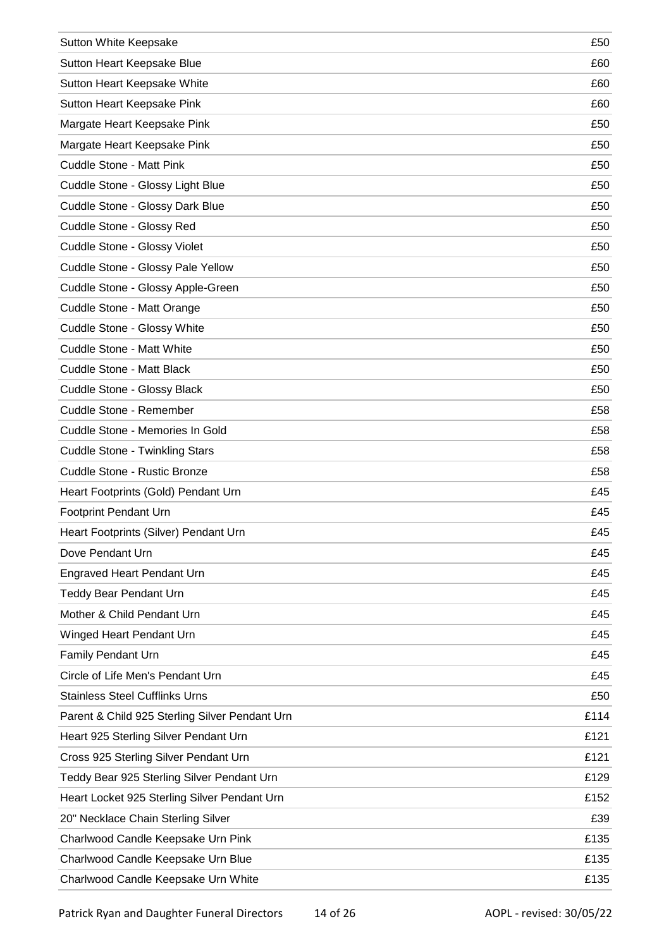| Sutton White Keepsake                          | £50  |
|------------------------------------------------|------|
| Sutton Heart Keepsake Blue                     | £60  |
| Sutton Heart Keepsake White                    | £60  |
| Sutton Heart Keepsake Pink                     | £60  |
| Margate Heart Keepsake Pink                    | £50  |
| Margate Heart Keepsake Pink                    | £50  |
| Cuddle Stone - Matt Pink                       | £50  |
| Cuddle Stone - Glossy Light Blue               | £50  |
| Cuddle Stone - Glossy Dark Blue                | £50  |
| Cuddle Stone - Glossy Red                      | £50  |
| Cuddle Stone - Glossy Violet                   | £50  |
| Cuddle Stone - Glossy Pale Yellow              | £50  |
| Cuddle Stone - Glossy Apple-Green              | £50  |
| Cuddle Stone - Matt Orange                     | £50  |
| Cuddle Stone - Glossy White                    | £50  |
| <b>Cuddle Stone - Matt White</b>               | £50  |
| Cuddle Stone - Matt Black                      | £50  |
| Cuddle Stone - Glossy Black                    | £50  |
| Cuddle Stone - Remember                        | £58  |
| Cuddle Stone - Memories In Gold                | £58  |
| <b>Cuddle Stone - Twinkling Stars</b>          | £58  |
| Cuddle Stone - Rustic Bronze                   | £58  |
| Heart Footprints (Gold) Pendant Urn            | £45  |
| <b>Footprint Pendant Urn</b>                   | £45  |
| Heart Footprints (Silver) Pendant Urn          | £45  |
| Dove Pendant Urn                               | £45  |
| <b>Engraved Heart Pendant Urn</b>              | £45  |
| <b>Teddy Bear Pendant Urn</b>                  | £45  |
| Mother & Child Pendant Urn                     | £45  |
| Winged Heart Pendant Urn                       | £45  |
| <b>Family Pendant Urn</b>                      | £45  |
| Circle of Life Men's Pendant Urn               | £45  |
| <b>Stainless Steel Cufflinks Urns</b>          | £50  |
| Parent & Child 925 Sterling Silver Pendant Urn | £114 |
| Heart 925 Sterling Silver Pendant Urn          | £121 |
| Cross 925 Sterling Silver Pendant Urn          | £121 |
| Teddy Bear 925 Sterling Silver Pendant Urn     | £129 |
| Heart Locket 925 Sterling Silver Pendant Urn   | £152 |
| 20" Necklace Chain Sterling Silver             | £39  |
| Charlwood Candle Keepsake Urn Pink             | £135 |
| Charlwood Candle Keepsake Urn Blue             | £135 |
| Charlwood Candle Keepsake Urn White            | £135 |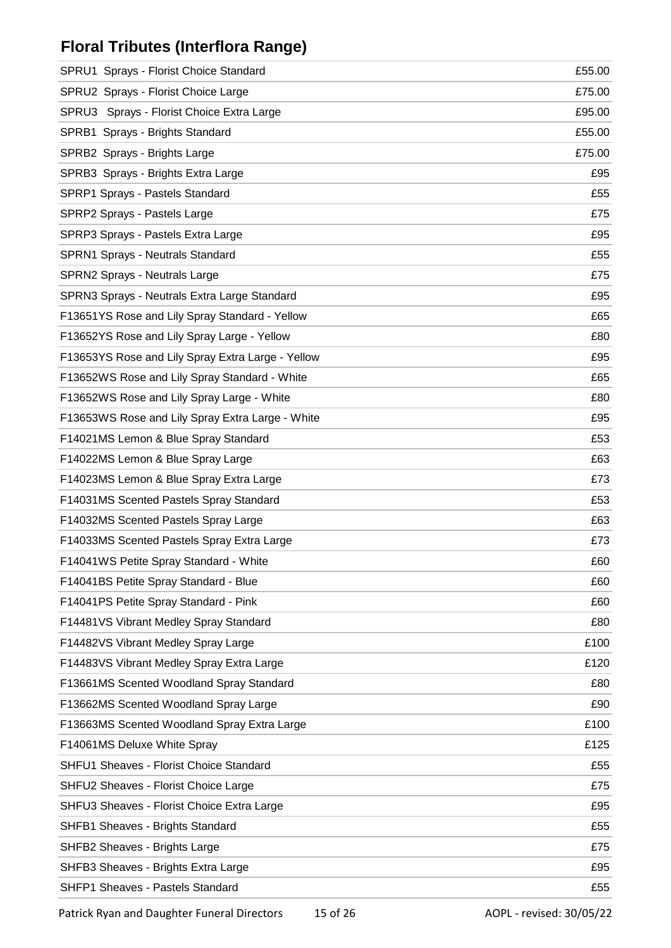## **Floral Tributes (Interflora Range)**

| SPRU1 Sprays - Florist Choice Standard            | £55.00 |
|---------------------------------------------------|--------|
| SPRU2 Sprays - Florist Choice Large               | £75.00 |
| SPRU3 Sprays - Florist Choice Extra Large         | £95.00 |
| SPRB1 Sprays - Brights Standard                   | £55.00 |
| SPRB2 Sprays - Brights Large                      | £75.00 |
| SPRB3 Sprays - Brights Extra Large                | £95    |
| SPRP1 Sprays - Pastels Standard                   | £55    |
| SPRP2 Sprays - Pastels Large                      | £75    |
| SPRP3 Sprays - Pastels Extra Large                | £95    |
| SPRN1 Sprays - Neutrals Standard                  | £55    |
| SPRN2 Sprays - Neutrals Large                     | £75    |
| SPRN3 Sprays - Neutrals Extra Large Standard      | £95    |
| F13651YS Rose and Lily Spray Standard - Yellow    | £65    |
| F13652YS Rose and Lily Spray Large - Yellow       | £80    |
| F13653YS Rose and Lily Spray Extra Large - Yellow | £95    |
| F13652WS Rose and Lily Spray Standard - White     | £65    |
| F13652WS Rose and Lily Spray Large - White        | £80    |
| F13653WS Rose and Lily Spray Extra Large - White  | £95    |
| F14021MS Lemon & Blue Spray Standard              | £53    |
| F14022MS Lemon & Blue Spray Large                 | £63    |
| F14023MS Lemon & Blue Spray Extra Large           | £73    |
| F14031MS Scented Pastels Spray Standard           | £53    |
| F14032MS Scented Pastels Spray Large              | £63    |
| F14033MS Scented Pastels Spray Extra Large        | £73    |
| F14041WS Petite Spray Standard - White            | £60    |
| F14041BS Petite Spray Standard - Blue             | £60    |
| F14041PS Petite Spray Standard - Pink             | £60    |
| F14481VS Vibrant Medley Spray Standard            | £80    |
| F14482VS Vibrant Medley Spray Large               | £100   |
| F14483VS Vibrant Medley Spray Extra Large         | £120   |
| F13661MS Scented Woodland Spray Standard          | £80    |
| F13662MS Scented Woodland Spray Large             | £90    |
| F13663MS Scented Woodland Spray Extra Large       | £100   |
| F14061MS Deluxe White Spray                       | £125   |
| SHFU1 Sheaves - Florist Choice Standard           | £55    |
| SHFU2 Sheaves - Florist Choice Large              | £75    |
| SHFU3 Sheaves - Florist Choice Extra Large        | £95    |
| SHFB1 Sheaves - Brights Standard                  | £55    |
| SHFB2 Sheaves - Brights Large                     | £75    |
| SHFB3 Sheaves - Brights Extra Large               | £95    |
| SHFP1 Sheaves - Pastels Standard                  | £55    |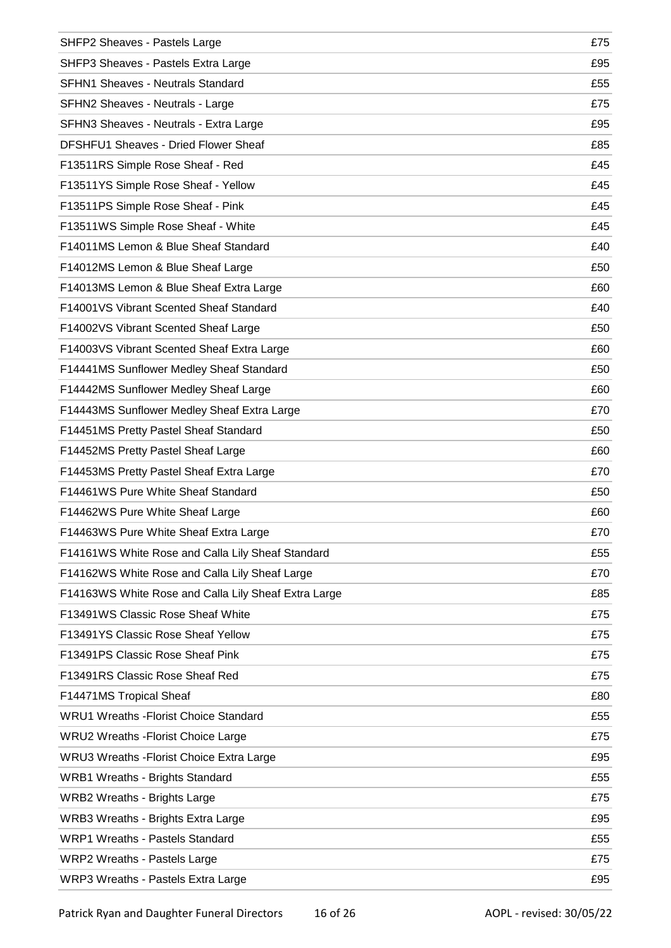| SHFP2 Sheaves - Pastels Large                        | £75 |
|------------------------------------------------------|-----|
| SHFP3 Sheaves - Pastels Extra Large                  | £95 |
| <b>SFHN1 Sheaves - Neutrals Standard</b>             | £55 |
| SFHN2 Sheaves - Neutrals - Large                     | £75 |
| SFHN3 Sheaves - Neutrals - Extra Large               | £95 |
| DFSHFU1 Sheaves - Dried Flower Sheaf                 | £85 |
| F13511RS Simple Rose Sheaf - Red                     | £45 |
| F13511YS Simple Rose Sheaf - Yellow                  | £45 |
| F13511PS Simple Rose Sheaf - Pink                    | £45 |
| F13511WS Simple Rose Sheaf - White                   | £45 |
| F14011MS Lemon & Blue Sheaf Standard                 | £40 |
| F14012MS Lemon & Blue Sheaf Large                    | £50 |
| F14013MS Lemon & Blue Sheaf Extra Large              | £60 |
| F14001VS Vibrant Scented Sheaf Standard              | £40 |
| F14002VS Vibrant Scented Sheaf Large                 | £50 |
| F14003VS Vibrant Scented Sheaf Extra Large           | £60 |
| F14441MS Sunflower Medley Sheaf Standard             | £50 |
| F14442MS Sunflower Medley Sheaf Large                | £60 |
| F14443MS Sunflower Medley Sheaf Extra Large          | £70 |
| F14451MS Pretty Pastel Sheaf Standard                | £50 |
| F14452MS Pretty Pastel Sheaf Large                   | £60 |
| F14453MS Pretty Pastel Sheaf Extra Large             | £70 |
| F14461WS Pure White Sheaf Standard                   | £50 |
| F14462WS Pure White Sheaf Large                      | £60 |
| F14463WS Pure White Sheaf Extra Large                | £70 |
| F14161WS White Rose and Calla Lily Sheaf Standard    | £55 |
| F14162WS White Rose and Calla Lily Sheaf Large       | £70 |
| F14163WS White Rose and Calla Lily Sheaf Extra Large | £85 |
| F13491WS Classic Rose Sheaf White                    | £75 |
| F13491YS Classic Rose Sheaf Yellow                   | £75 |
| F13491PS Classic Rose Sheaf Pink                     | £75 |
| F13491RS Classic Rose Sheaf Red                      | £75 |
| F14471MS Tropical Sheaf                              | £80 |
| <b>WRU1 Wreaths - Florist Choice Standard</b>        | £55 |
| <b>WRU2 Wreaths - Florist Choice Large</b>           | £75 |
| <b>WRU3 Wreaths - Florist Choice Extra Large</b>     | £95 |
| <b>WRB1 Wreaths - Brights Standard</b>               | £55 |
| <b>WRB2 Wreaths - Brights Large</b>                  | £75 |
| <b>WRB3 Wreaths - Brights Extra Large</b>            | £95 |
| <b>WRP1 Wreaths - Pastels Standard</b>               | £55 |
| WRP2 Wreaths - Pastels Large                         | £75 |
| WRP3 Wreaths - Pastels Extra Large                   | £95 |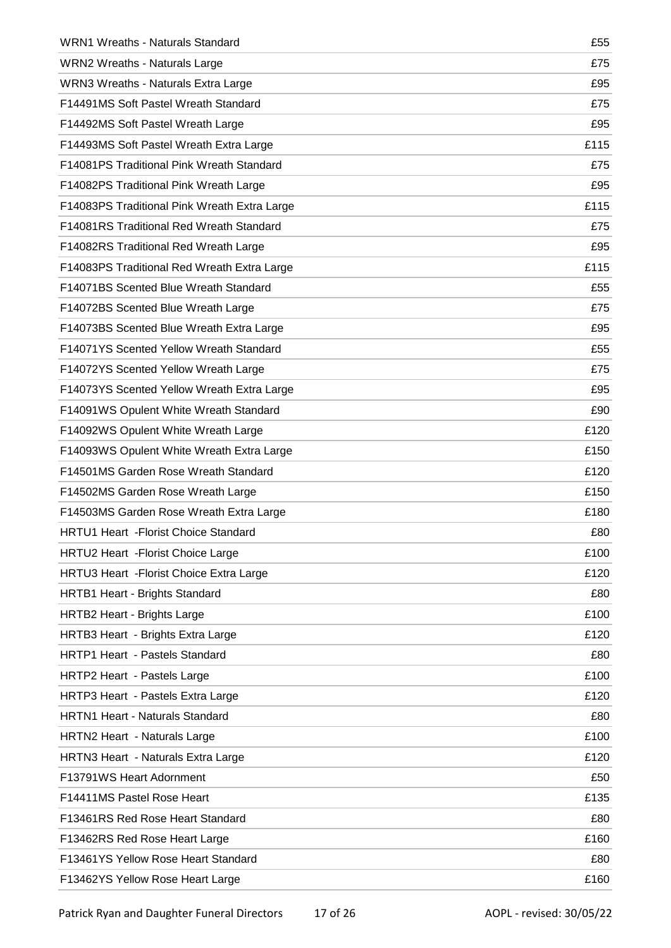| <b>WRN1 Wreaths - Naturals Standard</b>      | £55  |
|----------------------------------------------|------|
| <b>WRN2 Wreaths - Naturals Large</b>         | £75  |
| WRN3 Wreaths - Naturals Extra Large          | £95  |
| F14491MS Soft Pastel Wreath Standard         | £75  |
| F14492MS Soft Pastel Wreath Large            | £95  |
| F14493MS Soft Pastel Wreath Extra Large      | £115 |
| F14081PS Traditional Pink Wreath Standard    | £75  |
| F14082PS Traditional Pink Wreath Large       | £95  |
| F14083PS Traditional Pink Wreath Extra Large | £115 |
| F14081RS Traditional Red Wreath Standard     | £75  |
| F14082RS Traditional Red Wreath Large        | £95  |
| F14083PS Traditional Red Wreath Extra Large  | £115 |
| F14071BS Scented Blue Wreath Standard        | £55  |
| F14072BS Scented Blue Wreath Large           | £75  |
| F14073BS Scented Blue Wreath Extra Large     | £95  |
| F14071YS Scented Yellow Wreath Standard      | £55  |
| F14072YS Scented Yellow Wreath Large         | £75  |
| F14073YS Scented Yellow Wreath Extra Large   | £95  |
| F14091WS Opulent White Wreath Standard       | £90  |
| F14092WS Opulent White Wreath Large          | £120 |
| F14093WS Opulent White Wreath Extra Large    | £150 |
| F14501MS Garden Rose Wreath Standard         | £120 |
| F14502MS Garden Rose Wreath Large            | £150 |
| F14503MS Garden Rose Wreath Extra Large      | £180 |
| <b>HRTU1 Heart - Florist Choice Standard</b> | £80  |
| HRTU2 Heart - Florist Choice Large           | £100 |
| HRTU3 Heart - Florist Choice Extra Large     | £120 |
| HRTB1 Heart - Brights Standard               | £80  |
| HRTB2 Heart - Brights Large                  | £100 |
| HRTB3 Heart - Brights Extra Large            | £120 |
| <b>HRTP1 Heart - Pastels Standard</b>        | £80  |
| HRTP2 Heart - Pastels Large                  | £100 |
| HRTP3 Heart - Pastels Extra Large            | £120 |
| HRTN1 Heart - Naturals Standard              | £80  |
| HRTN2 Heart - Naturals Large                 | £100 |
| HRTN3 Heart - Naturals Extra Large           | £120 |
| F13791WS Heart Adornment                     | £50  |
| F14411MS Pastel Rose Heart                   | £135 |
| F13461RS Red Rose Heart Standard             | £80  |
| F13462RS Red Rose Heart Large                | £160 |
| F13461YS Yellow Rose Heart Standard          | £80  |
| F13462YS Yellow Rose Heart Large             | £160 |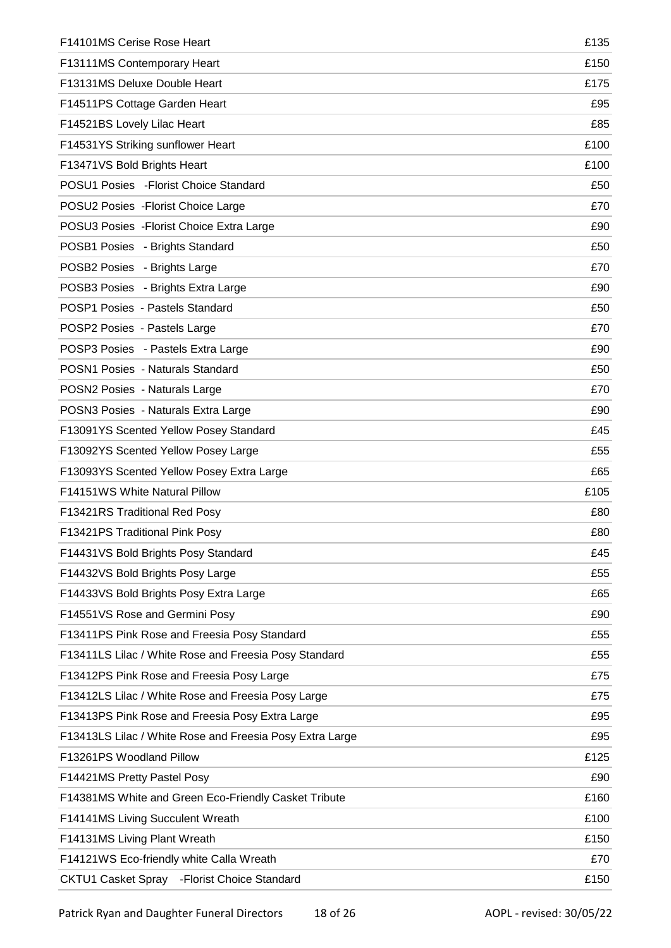| F14101MS Cerise Rose Heart                               | £135 |
|----------------------------------------------------------|------|
| F13111MS Contemporary Heart                              | £150 |
| F13131MS Deluxe Double Heart                             | £175 |
| F14511PS Cottage Garden Heart                            | £95  |
| F14521BS Lovely Lilac Heart                              | £85  |
| F14531YS Striking sunflower Heart                        | £100 |
| F13471VS Bold Brights Heart                              | £100 |
| POSU1 Posies - Florist Choice Standard                   | £50  |
| POSU2 Posies - Florist Choice Large                      | £70  |
| POSU3 Posies - Florist Choice Extra Large                | £90  |
| POSB1 Posies - Brights Standard                          | £50  |
| POSB2 Posies - Brights Large                             | £70  |
| POSB3 Posies - Brights Extra Large                       | £90  |
| POSP1 Posies - Pastels Standard                          | £50  |
| POSP2 Posies - Pastels Large                             | £70  |
| POSP3 Posies - Pastels Extra Large                       | £90  |
| POSN1 Posies - Naturals Standard                         | £50  |
| POSN2 Posies - Naturals Large                            | £70  |
| POSN3 Posies - Naturals Extra Large                      | £90  |
| F13091YS Scented Yellow Posey Standard                   | £45  |
| F13092YS Scented Yellow Posey Large                      | £55  |
| F13093YS Scented Yellow Posey Extra Large                | £65  |
| F14151WS White Natural Pillow                            | £105 |
| F13421RS Traditional Red Posy                            | £80  |
| F13421PS Traditional Pink Posy                           | £80  |
| F14431VS Bold Brights Posy Standard                      | £45  |
| F14432VS Bold Brights Posy Large                         | £55  |
| F14433VS Bold Brights Posy Extra Large                   | £65  |
| F14551VS Rose and Germini Posy                           | £90  |
| F13411PS Pink Rose and Freesia Posy Standard             | £55  |
| F13411LS Lilac / White Rose and Freesia Posy Standard    | £55  |
| F13412PS Pink Rose and Freesia Posy Large                | £75  |
| F13412LS Lilac / White Rose and Freesia Posy Large       | £75  |
| F13413PS Pink Rose and Freesia Posy Extra Large          | £95  |
| F13413LS Lilac / White Rose and Freesia Posy Extra Large | £95  |
| F13261PS Woodland Pillow                                 | £125 |
| F14421MS Pretty Pastel Posy                              | £90  |
| F14381MS White and Green Eco-Friendly Casket Tribute     | £160 |
| F14141MS Living Succulent Wreath                         | £100 |
| F14131MS Living Plant Wreath                             | £150 |
| F14121WS Eco-friendly white Calla Wreath                 | £70  |
| CKTU1 Casket Spray - Florist Choice Standard             | £150 |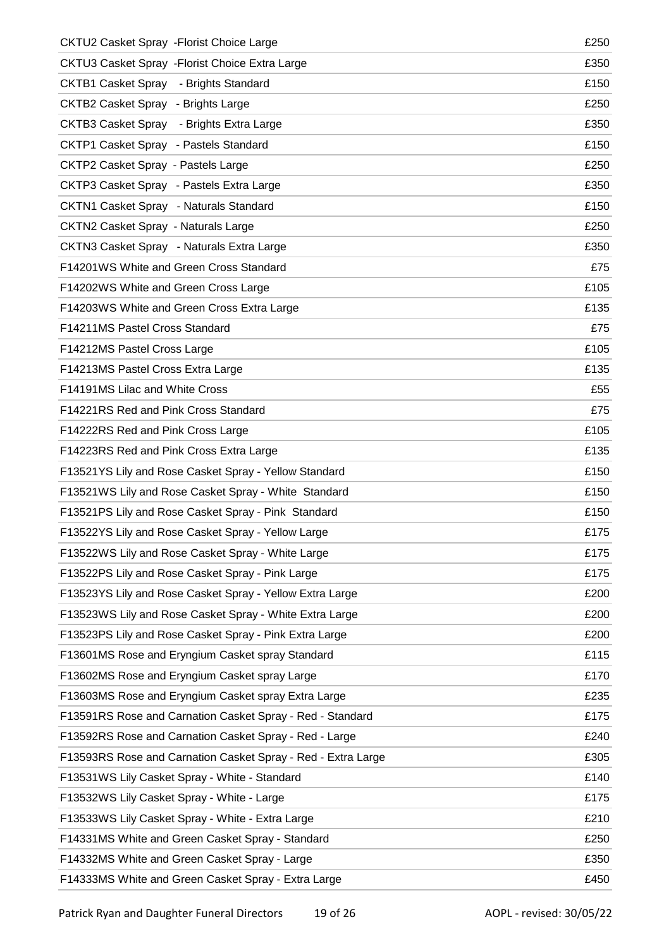| CKTU2 Casket Spray - Florist Choice Large                    | £250 |
|--------------------------------------------------------------|------|
| CKTU3 Casket Spray - Florist Choice Extra Large              | £350 |
| CKTB1 Casket Spray - Brights Standard                        | £150 |
| CKTB2 Casket Spray - Brights Large                           | £250 |
| CKTB3 Casket Spray - Brights Extra Large                     | £350 |
| CKTP1 Casket Spray - Pastels Standard                        | £150 |
| <b>CKTP2 Casket Spray - Pastels Large</b>                    | £250 |
| CKTP3 Casket Spray - Pastels Extra Large                     | £350 |
| CKTN1 Casket Spray - Naturals Standard                       | £150 |
| <b>CKTN2 Casket Spray - Naturals Large</b>                   | £250 |
| CKTN3 Casket Spray - Naturals Extra Large                    | £350 |
| F14201WS White and Green Cross Standard                      | £75  |
| F14202WS White and Green Cross Large                         | £105 |
| F14203WS White and Green Cross Extra Large                   | £135 |
| F14211MS Pastel Cross Standard                               | £75  |
| F14212MS Pastel Cross Large                                  | £105 |
| F14213MS Pastel Cross Extra Large                            | £135 |
| F14191MS Lilac and White Cross                               | £55  |
| F14221RS Red and Pink Cross Standard                         | £75  |
| F14222RS Red and Pink Cross Large                            | £105 |
| F14223RS Red and Pink Cross Extra Large                      | £135 |
| F13521YS Lily and Rose Casket Spray - Yellow Standard        | £150 |
| F13521WS Lily and Rose Casket Spray - White Standard         | £150 |
| F13521PS Lily and Rose Casket Spray - Pink Standard          | £150 |
| F13522YS Lily and Rose Casket Spray - Yellow Large           | £175 |
| F13522WS Lily and Rose Casket Spray - White Large            | £175 |
| F13522PS Lily and Rose Casket Spray - Pink Large             | £175 |
| F13523YS Lily and Rose Casket Spray - Yellow Extra Large     | £200 |
| F13523WS Lily and Rose Casket Spray - White Extra Large      | £200 |
| F13523PS Lily and Rose Casket Spray - Pink Extra Large       | £200 |
| F13601MS Rose and Eryngium Casket spray Standard             | £115 |
| F13602MS Rose and Eryngium Casket spray Large                | £170 |
| F13603MS Rose and Eryngium Casket spray Extra Large          | £235 |
| F13591RS Rose and Carnation Casket Spray - Red - Standard    | £175 |
| F13592RS Rose and Carnation Casket Spray - Red - Large       | £240 |
| F13593RS Rose and Carnation Casket Spray - Red - Extra Large | £305 |
| F13531WS Lily Casket Spray - White - Standard                | £140 |
| F13532WS Lily Casket Spray - White - Large                   | £175 |
| F13533WS Lily Casket Spray - White - Extra Large             | £210 |
| F14331MS White and Green Casket Spray - Standard             | £250 |
| F14332MS White and Green Casket Spray - Large                | £350 |
| F14333MS White and Green Casket Spray - Extra Large          | £450 |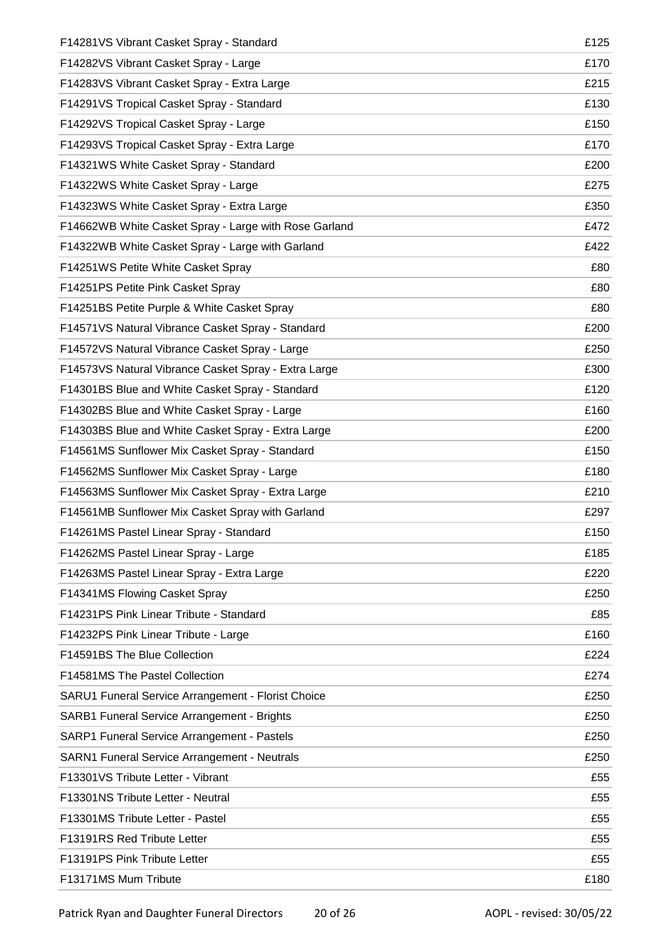| F14281VS Vibrant Casket Spray - Standard              | £125 |
|-------------------------------------------------------|------|
| F14282VS Vibrant Casket Spray - Large                 | £170 |
| F14283VS Vibrant Casket Spray - Extra Large           | £215 |
| F14291VS Tropical Casket Spray - Standard             | £130 |
| F14292VS Tropical Casket Spray - Large                | £150 |
| F14293VS Tropical Casket Spray - Extra Large          | £170 |
| F14321WS White Casket Spray - Standard                | £200 |
| F14322WS White Casket Spray - Large                   | £275 |
| F14323WS White Casket Spray - Extra Large             | £350 |
| F14662WB White Casket Spray - Large with Rose Garland | £472 |
| F14322WB White Casket Spray - Large with Garland      | £422 |
| F14251WS Petite White Casket Spray                    | £80  |
| F14251PS Petite Pink Casket Spray                     | £80  |
| F14251BS Petite Purple & White Casket Spray           | £80  |
| F14571VS Natural Vibrance Casket Spray - Standard     | £200 |
| F14572VS Natural Vibrance Casket Spray - Large        | £250 |
| F14573VS Natural Vibrance Casket Spray - Extra Large  | £300 |
| F14301BS Blue and White Casket Spray - Standard       | £120 |
| F14302BS Blue and White Casket Spray - Large          | £160 |
| F14303BS Blue and White Casket Spray - Extra Large    | £200 |
| F14561MS Sunflower Mix Casket Spray - Standard        | £150 |
| F14562MS Sunflower Mix Casket Spray - Large           | £180 |
| F14563MS Sunflower Mix Casket Spray - Extra Large     | £210 |
| F14561MB Sunflower Mix Casket Spray with Garland      | £297 |
| F14261MS Pastel Linear Spray - Standard               | £150 |
| F14262MS Pastel Linear Spray - Large                  | £185 |
| F14263MS Pastel Linear Spray - Extra Large            | £220 |
| F14341MS Flowing Casket Spray                         | £250 |
| F14231PS Pink Linear Tribute - Standard               | £85  |
| F14232PS Pink Linear Tribute - Large                  | £160 |
| F14591BS The Blue Collection                          | £224 |
| F14581MS The Pastel Collection                        | £274 |
| SARU1 Funeral Service Arrangement - Florist Choice    | £250 |
| SARB1 Funeral Service Arrangement - Brights           | £250 |
| SARP1 Funeral Service Arrangement - Pastels           | £250 |
| SARN1 Funeral Service Arrangement - Neutrals          | £250 |
| F13301VS Tribute Letter - Vibrant                     | £55  |
| F13301NS Tribute Letter - Neutral                     | £55  |
| F13301MS Tribute Letter - Pastel                      | £55  |
| F13191RS Red Tribute Letter                           | £55  |
| F13191PS Pink Tribute Letter                          | £55  |
| F13171MS Mum Tribute                                  | £180 |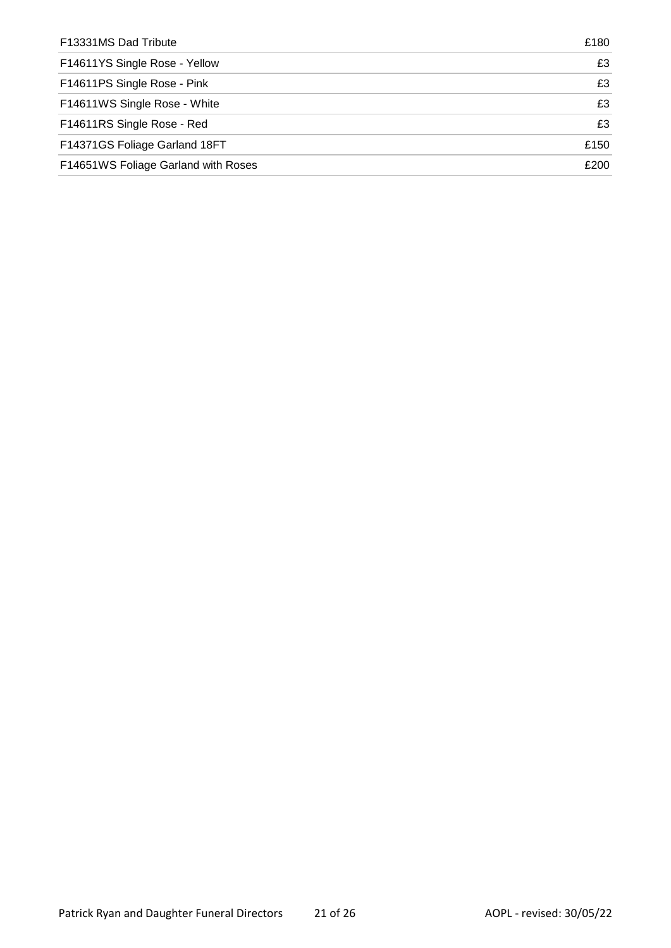| F13331MS Dad Tribute                | £180 |
|-------------------------------------|------|
| F14611YS Single Rose - Yellow       | £3   |
| F14611PS Single Rose - Pink         | £3   |
| F14611WS Single Rose - White        | £3   |
| F14611RS Single Rose - Red          | £3   |
| F14371GS Foliage Garland 18FT       | £150 |
| F14651WS Foliage Garland with Roses | £200 |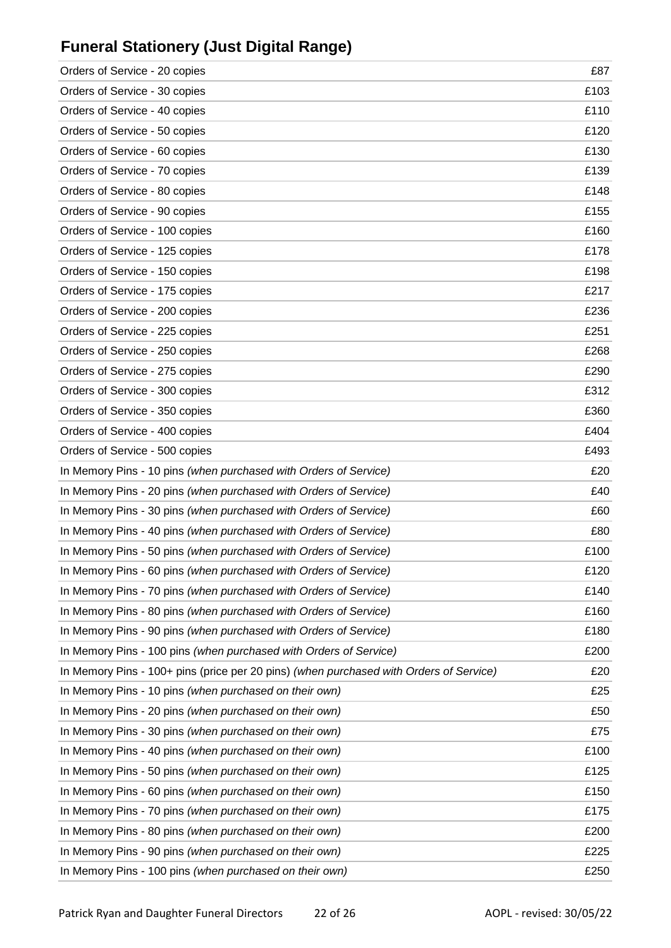# **Funeral Stationery (Just Digital Range)**

| Orders of Service - 20 copies                                                          | £87  |
|----------------------------------------------------------------------------------------|------|
| Orders of Service - 30 copies                                                          | £103 |
| Orders of Service - 40 copies                                                          | £110 |
| Orders of Service - 50 copies                                                          | £120 |
| Orders of Service - 60 copies                                                          | £130 |
| Orders of Service - 70 copies                                                          | £139 |
| Orders of Service - 80 copies                                                          | £148 |
| Orders of Service - 90 copies                                                          | £155 |
| Orders of Service - 100 copies                                                         | £160 |
| Orders of Service - 125 copies                                                         | £178 |
| Orders of Service - 150 copies                                                         | £198 |
| Orders of Service - 175 copies                                                         | £217 |
| Orders of Service - 200 copies                                                         | £236 |
| Orders of Service - 225 copies                                                         | £251 |
| Orders of Service - 250 copies                                                         | £268 |
| Orders of Service - 275 copies                                                         | £290 |
| Orders of Service - 300 copies                                                         | £312 |
| Orders of Service - 350 copies                                                         | £360 |
| Orders of Service - 400 copies                                                         | £404 |
| Orders of Service - 500 copies                                                         | £493 |
| In Memory Pins - 10 pins (when purchased with Orders of Service)                       | £20  |
| In Memory Pins - 20 pins (when purchased with Orders of Service)                       | £40  |
| In Memory Pins - 30 pins (when purchased with Orders of Service)                       | £60  |
| In Memory Pins - 40 pins (when purchased with Orders of Service)                       | £80  |
| In Memory Pins - 50 pins (when purchased with Orders of Service)                       | £100 |
| In Memory Pins - 60 pins (when purchased with Orders of Service)                       | £120 |
| In Memory Pins - 70 pins (when purchased with Orders of Service)                       | £140 |
| In Memory Pins - 80 pins (when purchased with Orders of Service)                       | £160 |
| In Memory Pins - 90 pins (when purchased with Orders of Service)                       | £180 |
| In Memory Pins - 100 pins (when purchased with Orders of Service)                      | £200 |
| In Memory Pins - 100+ pins (price per 20 pins) (when purchased with Orders of Service) | £20  |
| In Memory Pins - 10 pins (when purchased on their own)                                 | £25  |
| In Memory Pins - 20 pins (when purchased on their own)                                 | £50  |
| In Memory Pins - 30 pins (when purchased on their own)                                 | £75  |
| In Memory Pins - 40 pins (when purchased on their own)                                 | £100 |
| In Memory Pins - 50 pins (when purchased on their own)                                 | £125 |
| In Memory Pins - 60 pins (when purchased on their own)                                 | £150 |
| In Memory Pins - 70 pins (when purchased on their own)                                 | £175 |
| In Memory Pins - 80 pins (when purchased on their own)                                 | £200 |
| In Memory Pins - 90 pins (when purchased on their own)                                 | £225 |
| In Memory Pins - 100 pins (when purchased on their own)                                | £250 |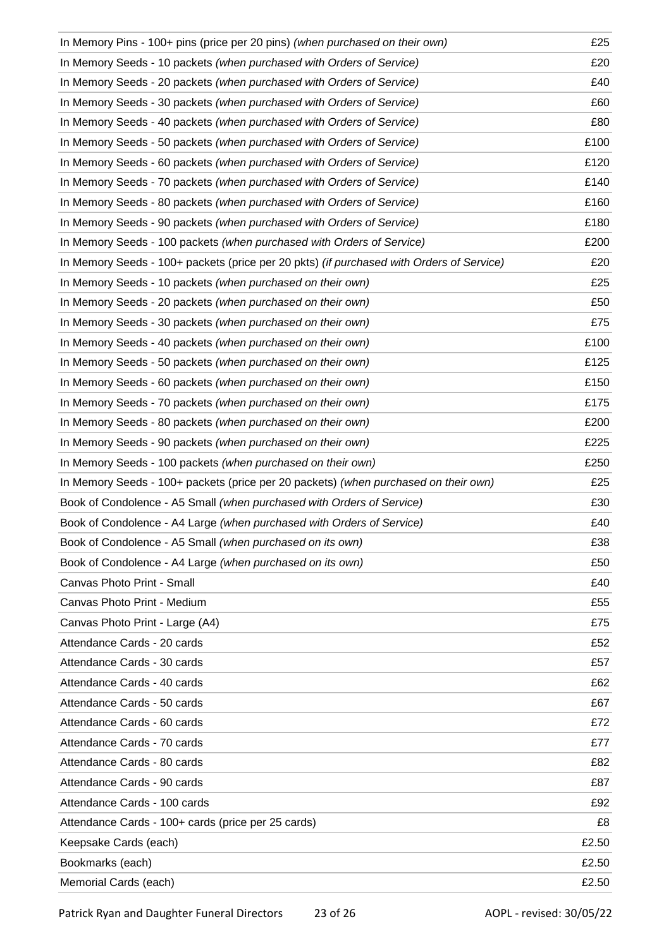| In Memory Pins - 100+ pins (price per 20 pins) (when purchased on their own)             | £25   |
|------------------------------------------------------------------------------------------|-------|
| In Memory Seeds - 10 packets (when purchased with Orders of Service)                     | £20   |
| In Memory Seeds - 20 packets (when purchased with Orders of Service)                     | £40   |
| In Memory Seeds - 30 packets (when purchased with Orders of Service)                     | £60   |
| In Memory Seeds - 40 packets (when purchased with Orders of Service)                     | £80   |
| In Memory Seeds - 50 packets (when purchased with Orders of Service)                     | £100  |
| In Memory Seeds - 60 packets (when purchased with Orders of Service)                     | £120  |
| In Memory Seeds - 70 packets (when purchased with Orders of Service)                     | £140  |
| In Memory Seeds - 80 packets (when purchased with Orders of Service)                     | £160  |
| In Memory Seeds - 90 packets (when purchased with Orders of Service)                     | £180  |
| In Memory Seeds - 100 packets (when purchased with Orders of Service)                    | £200  |
| In Memory Seeds - 100+ packets (price per 20 pkts) (if purchased with Orders of Service) | £20   |
| In Memory Seeds - 10 packets (when purchased on their own)                               | £25   |
| In Memory Seeds - 20 packets (when purchased on their own)                               | £50   |
| In Memory Seeds - 30 packets (when purchased on their own)                               | £75   |
| In Memory Seeds - 40 packets (when purchased on their own)                               | £100  |
| In Memory Seeds - 50 packets (when purchased on their own)                               | £125  |
| In Memory Seeds - 60 packets (when purchased on their own)                               | £150  |
| In Memory Seeds - 70 packets (when purchased on their own)                               | £175  |
| In Memory Seeds - 80 packets (when purchased on their own)                               | £200  |
| In Memory Seeds - 90 packets (when purchased on their own)                               | £225  |
| In Memory Seeds - 100 packets (when purchased on their own)                              | £250  |
| In Memory Seeds - 100+ packets (price per 20 packets) (when purchased on their own)      | £25   |
| Book of Condolence - A5 Small (when purchased with Orders of Service)                    | £30   |
| Book of Condolence - A4 Large (when purchased with Orders of Service)                    | £40   |
| Book of Condolence - A5 Small (when purchased on its own)                                | £38   |
| Book of Condolence - A4 Large (when purchased on its own)                                | £50   |
| Canvas Photo Print - Small                                                               | £40   |
| Canvas Photo Print - Medium                                                              | £55   |
| Canvas Photo Print - Large (A4)                                                          | £75   |
| Attendance Cards - 20 cards                                                              | £52   |
| Attendance Cards - 30 cards                                                              | £57   |
| Attendance Cards - 40 cards                                                              | £62   |
| Attendance Cards - 50 cards                                                              | £67   |
| Attendance Cards - 60 cards                                                              | £72   |
| Attendance Cards - 70 cards                                                              | £77   |
| Attendance Cards - 80 cards                                                              | £82   |
| Attendance Cards - 90 cards                                                              | £87   |
| Attendance Cards - 100 cards                                                             | £92   |
| Attendance Cards - 100+ cards (price per 25 cards)                                       | £8    |
| Keepsake Cards (each)                                                                    | £2.50 |
| Bookmarks (each)                                                                         | £2.50 |
| Memorial Cards (each)                                                                    | £2.50 |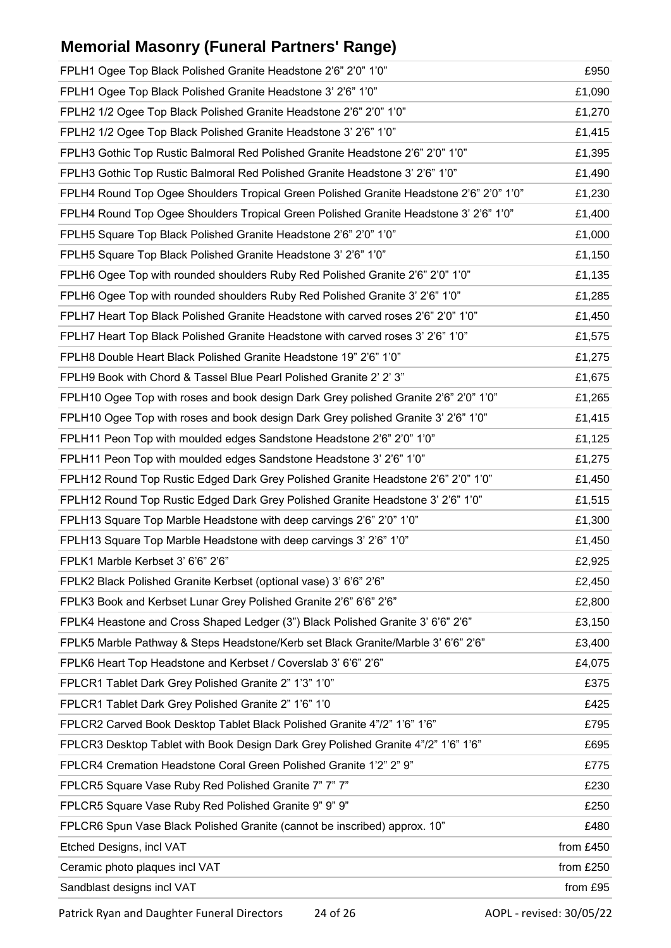# **Memorial Masonry (Funeral Partners' Range)**

| FPLH1 Ogee Top Black Polished Granite Headstone 2'6" 2'0" 1'0"                          | £950      |
|-----------------------------------------------------------------------------------------|-----------|
| FPLH1 Ogee Top Black Polished Granite Headstone 3' 2'6" 1'0"                            | £1,090    |
| FPLH2 1/2 Ogee Top Black Polished Granite Headstone 2'6" 2'0" 1'0"                      | £1,270    |
| FPLH2 1/2 Ogee Top Black Polished Granite Headstone 3' 2'6" 1'0"                        | £1,415    |
| FPLH3 Gothic Top Rustic Balmoral Red Polished Granite Headstone 2'6" 2'0" 1'0"          | £1,395    |
| FPLH3 Gothic Top Rustic Balmoral Red Polished Granite Headstone 3' 2'6" 1'0"            | £1,490    |
| FPLH4 Round Top Ogee Shoulders Tropical Green Polished Granite Headstone 2'6" 2'0" 1'0" | £1,230    |
| FPLH4 Round Top Ogee Shoulders Tropical Green Polished Granite Headstone 3' 2'6" 1'0"   | £1,400    |
| FPLH5 Square Top Black Polished Granite Headstone 2'6" 2'0" 1'0"                        | £1,000    |
| FPLH5 Square Top Black Polished Granite Headstone 3' 2'6" 1'0"                          | £1,150    |
| FPLH6 Ogee Top with rounded shoulders Ruby Red Polished Granite 2'6" 2'0" 1'0"          | £1,135    |
| FPLH6 Ogee Top with rounded shoulders Ruby Red Polished Granite 3' 2'6" 1'0"            | £1,285    |
| FPLH7 Heart Top Black Polished Granite Headstone with carved roses 2'6" 2'0" 1'0"       | £1,450    |
| FPLH7 Heart Top Black Polished Granite Headstone with carved roses 3' 2'6" 1'0"         | £1,575    |
| FPLH8 Double Heart Black Polished Granite Headstone 19" 2'6" 1'0"                       | £1,275    |
| FPLH9 Book with Chord & Tassel Blue Pearl Polished Granite 2' 2' 3"                     | £1,675    |
| FPLH10 Ogee Top with roses and book design Dark Grey polished Granite 2'6" 2'0" 1'0"    | £1,265    |
| FPLH10 Ogee Top with roses and book design Dark Grey polished Granite 3' 2'6" 1'0"      | £1,415    |
| FPLH11 Peon Top with moulded edges Sandstone Headstone 2'6" 2'0" 1'0"                   | £1,125    |
| FPLH11 Peon Top with moulded edges Sandstone Headstone 3' 2'6" 1'0"                     | £1,275    |
| FPLH12 Round Top Rustic Edged Dark Grey Polished Granite Headstone 2'6" 2'0" 1'0"       | £1,450    |
| FPLH12 Round Top Rustic Edged Dark Grey Polished Granite Headstone 3' 2'6" 1'0"         | £1,515    |
| FPLH13 Square Top Marble Headstone with deep carvings 2'6" 2'0" 1'0"                    | £1,300    |
| FPLH13 Square Top Marble Headstone with deep carvings 3' 2'6" 1'0"                      | £1,450    |
| FPLK1 Marble Kerbset 3' 6'6" 2'6"                                                       | £2,925    |
| FPLK2 Black Polished Granite Kerbset (optional vase) 3' 6'6" 2'6"                       | £2,450    |
| FPLK3 Book and Kerbset Lunar Grey Polished Granite 2'6" 6'6" 2'6"                       | £2,800    |
| FPLK4 Heastone and Cross Shaped Ledger (3") Black Polished Granite 3' 6'6" 2'6"         | £3,150    |
| FPLK5 Marble Pathway & Steps Headstone/Kerb set Black Granite/Marble 3' 6'6" 2'6"       | £3,400    |
| FPLK6 Heart Top Headstone and Kerbset / Coverslab 3' 6'6" 2'6"                          | £4,075    |
| FPLCR1 Tablet Dark Grey Polished Granite 2" 1'3" 1'0"                                   | £375      |
| FPLCR1 Tablet Dark Grey Polished Granite 2" 1'6" 1'0                                    | £425      |
| FPLCR2 Carved Book Desktop Tablet Black Polished Granite 4"/2" 1'6" 1'6"                | £795      |
| FPLCR3 Desktop Tablet with Book Design Dark Grey Polished Granite 4"/2" 1'6" 1'6"       | £695      |
| FPLCR4 Cremation Headstone Coral Green Polished Granite 1'2" 2" 9"                      | £775      |
| FPLCR5 Square Vase Ruby Red Polished Granite 7" 7" 7"                                   | £230      |
| FPLCR5 Square Vase Ruby Red Polished Granite 9" 9" 9"                                   | £250      |
| FPLCR6 Spun Vase Black Polished Granite (cannot be inscribed) approx. 10"               | £480      |
| Etched Designs, incl VAT                                                                | from £450 |
| Ceramic photo plaques incl VAT                                                          | from £250 |
| Sandblast designs incl VAT                                                              | from £95  |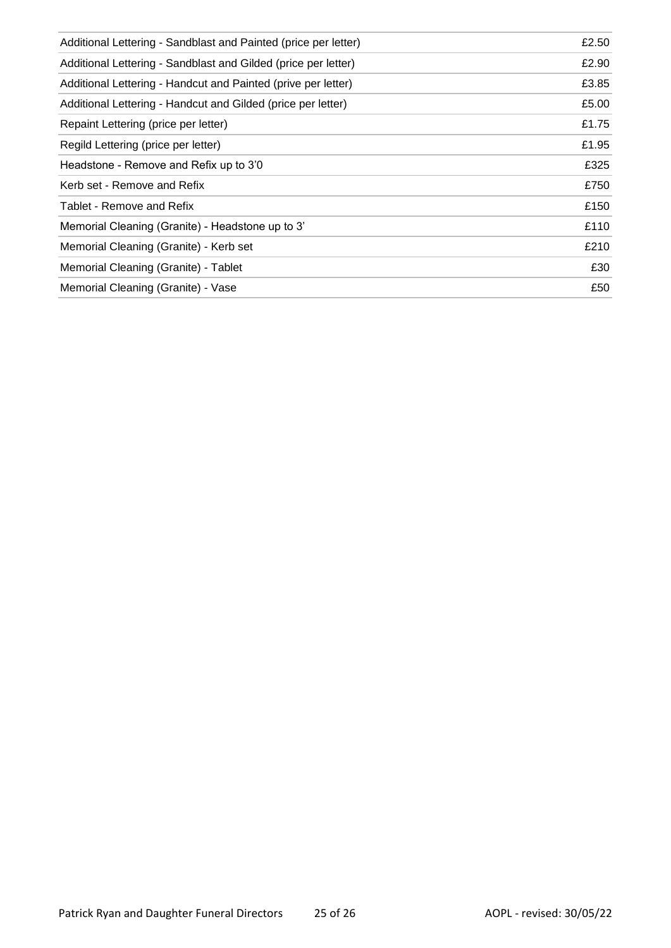| Additional Lettering - Sandblast and Painted (price per letter) | £2.50 |
|-----------------------------------------------------------------|-------|
| Additional Lettering - Sandblast and Gilded (price per letter)  | £2.90 |
| Additional Lettering - Handcut and Painted (prive per letter)   | £3.85 |
| Additional Lettering - Handcut and Gilded (price per letter)    | £5.00 |
| Repaint Lettering (price per letter)                            | £1.75 |
| Regild Lettering (price per letter)                             | £1.95 |
| Headstone - Remove and Refix up to 3'0                          | £325  |
| Kerb set - Remove and Refix                                     | £750  |
| Tablet - Remove and Refix                                       | £150  |
| Memorial Cleaning (Granite) - Headstone up to 3'                | £110  |
| Memorial Cleaning (Granite) - Kerb set                          | £210  |
| Memorial Cleaning (Granite) - Tablet                            | £30   |
| Memorial Cleaning (Granite) - Vase                              | £50   |